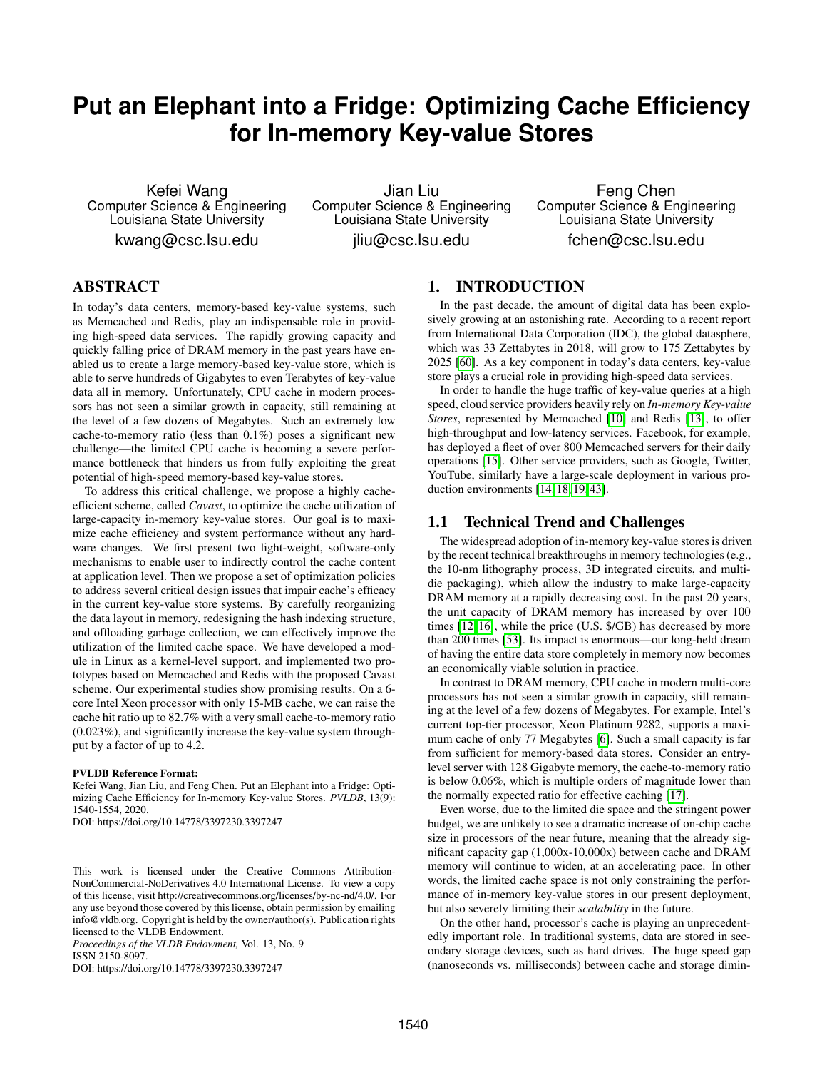# **Put an Elephant into a Fridge: Optimizing Cache Efficiency for In-memory Key-value Stores**

Kefei Wang Computer Science & Engineering Louisiana State University

kwang@csc.lsu.edu

Jian Liu Computer Science & Engineering Louisiana State University jliu@csc.lsu.edu

Feng Chen Computer Science & Engineering Louisiana State University fchen@csc.lsu.edu

# ABSTRACT

In today's data centers, memory-based key-value systems, such as Memcached and Redis, play an indispensable role in providing high-speed data services. The rapidly growing capacity and quickly falling price of DRAM memory in the past years have enabled us to create a large memory-based key-value store, which is able to serve hundreds of Gigabytes to even Terabytes of key-value data all in memory. Unfortunately, CPU cache in modern processors has not seen a similar growth in capacity, still remaining at the level of a few dozens of Megabytes. Such an extremely low cache-to-memory ratio (less than 0.1%) poses a significant new challenge—the limited CPU cache is becoming a severe performance bottleneck that hinders us from fully exploiting the great potential of high-speed memory-based key-value stores.

To address this critical challenge, we propose a highly cacheefficient scheme, called *Cavast*, to optimize the cache utilization of large-capacity in-memory key-value stores. Our goal is to maximize cache efficiency and system performance without any hardware changes. We first present two light-weight, software-only mechanisms to enable user to indirectly control the cache content at application level. Then we propose a set of optimization policies to address several critical design issues that impair cache's efficacy in the current key-value store systems. By carefully reorganizing the data layout in memory, redesigning the hash indexing structure, and offloading garbage collection, we can effectively improve the utilization of the limited cache space. We have developed a module in Linux as a kernel-level support, and implemented two prototypes based on Memcached and Redis with the proposed Cavast scheme. Our experimental studies show promising results. On a 6 core Intel Xeon processor with only 15-MB cache, we can raise the cache hit ratio up to 82.7% with a very small cache-to-memory ratio (0.023%), and significantly increase the key-value system throughput by a factor of up to 4.2.

#### PVLDB Reference Format:

Kefei Wang, Jian Liu, and Feng Chen. Put an Elephant into a Fridge: Optimizing Cache Efficiency for In-memory Key-value Stores. *PVLDB*, 13(9): 1540-1554, 2020.

DOI: https://doi.org/10.14778/3397230.3397247

*Proceedings of the VLDB Endowment,* Vol. 13, No. 9 ISSN 2150-8097.

DOI: https://doi.org/10.14778/3397230.3397247

# 1. INTRODUCTION

In the past decade, the amount of digital data has been explosively growing at an astonishing rate. According to a recent report from International Data Corporation (IDC), the global datasphere, which was 33 Zettabytes in 2018, will grow to 175 Zettabytes by 2025 [\[60\]](#page-13-0). As a key component in today's data centers, key-value store plays a crucial role in providing high-speed data services.

In order to handle the huge traffic of key-value queries at a high speed, cloud service providers heavily rely on *In-memory Key-value Stores*, represented by Memcached [\[10\]](#page-12-0) and Redis [\[13\]](#page-12-1), to offer high-throughput and low-latency services. Facebook, for example, has deployed a fleet of over 800 Memcached servers for their daily operations [\[15\]](#page-12-2). Other service providers, such as Google, Twitter, YouTube, similarly have a large-scale deployment in various production environments [\[14,](#page-12-3) [18,](#page-12-4) [19,](#page-12-5) [43\]](#page-13-1).

#### 1.1 Technical Trend and Challenges

The widespread adoption of in-memory key-value stores is driven by the recent technical breakthroughs in memory technologies (e.g., the 10-nm lithography process, 3D integrated circuits, and multidie packaging), which allow the industry to make large-capacity DRAM memory at a rapidly decreasing cost. In the past 20 years, the unit capacity of DRAM memory has increased by over 100 times [\[12,](#page-12-6) [16\]](#page-12-7), while the price (U.S. \$/GB) has decreased by more than 200 times [\[53\]](#page-13-2). Its impact is enormous—our long-held dream of having the entire data store completely in memory now becomes an economically viable solution in practice.

In contrast to DRAM memory, CPU cache in modern multi-core processors has not seen a similar growth in capacity, still remaining at the level of a few dozens of Megabytes. For example, Intel's current top-tier processor, Xeon Platinum 9282, supports a maximum cache of only 77 Megabytes [\[6\]](#page-12-8). Such a small capacity is far from sufficient for memory-based data stores. Consider an entrylevel server with 128 Gigabyte memory, the cache-to-memory ratio is below 0.06%, which is multiple orders of magnitude lower than the normally expected ratio for effective caching [\[17\]](#page-12-9).

Even worse, due to the limited die space and the stringent power budget, we are unlikely to see a dramatic increase of on-chip cache size in processors of the near future, meaning that the already significant capacity gap (1,000x-10,000x) between cache and DRAM memory will continue to widen, at an accelerating pace. In other words, the limited cache space is not only constraining the performance of in-memory key-value stores in our present deployment, but also severely limiting their *scalability* in the future.

On the other hand, processor's cache is playing an unprecedentedly important role. In traditional systems, data are stored in secondary storage devices, such as hard drives. The huge speed gap (nanoseconds vs. milliseconds) between cache and storage dimin-

This work is licensed under the Creative Commons Attribution-NonCommercial-NoDerivatives 4.0 International License. To view a copy of this license, visit http://creativecommons.org/licenses/by-nc-nd/4.0/. For any use beyond those covered by this license, obtain permission by emailing info@vldb.org. Copyright is held by the owner/author(s). Publication rights licensed to the VLDB Endowment.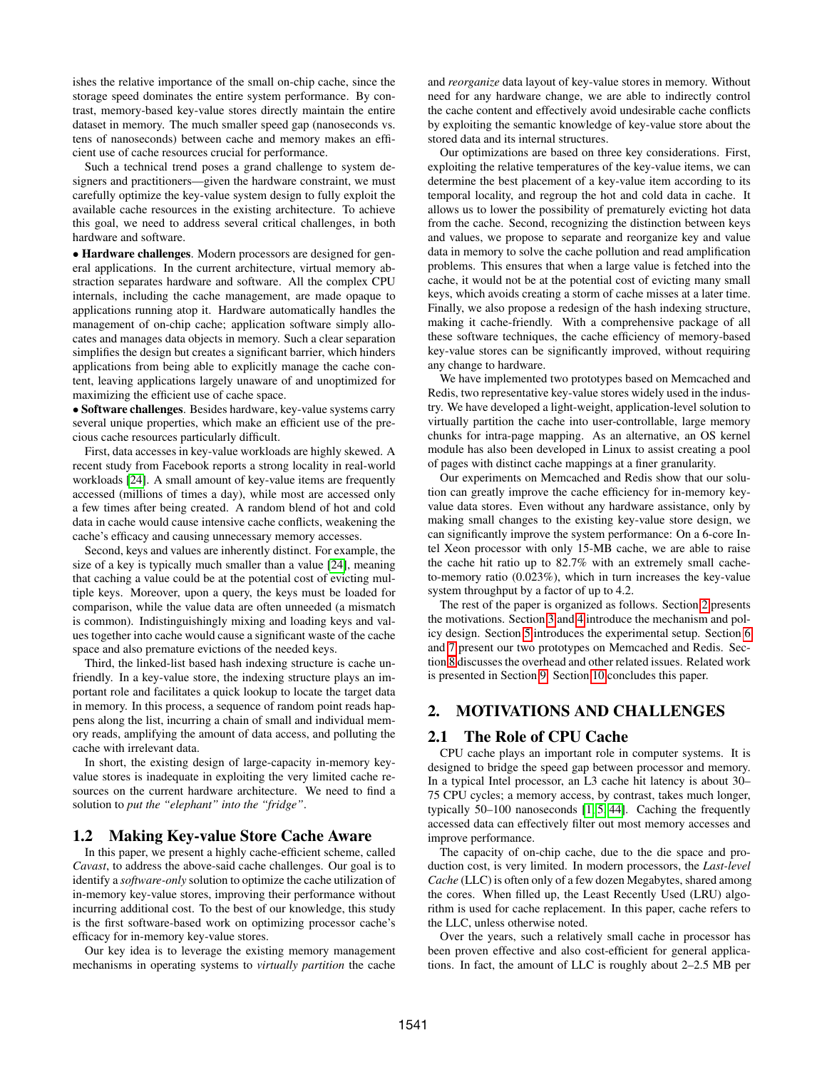ishes the relative importance of the small on-chip cache, since the storage speed dominates the entire system performance. By contrast, memory-based key-value stores directly maintain the entire dataset in memory. The much smaller speed gap (nanoseconds vs. tens of nanoseconds) between cache and memory makes an efficient use of cache resources crucial for performance.

Such a technical trend poses a grand challenge to system designers and practitioners—given the hardware constraint, we must carefully optimize the key-value system design to fully exploit the available cache resources in the existing architecture. To achieve this goal, we need to address several critical challenges, in both hardware and software.

• Hardware challenges. Modern processors are designed for general applications. In the current architecture, virtual memory abstraction separates hardware and software. All the complex CPU internals, including the cache management, are made opaque to applications running atop it. Hardware automatically handles the management of on-chip cache; application software simply allocates and manages data objects in memory. Such a clear separation simplifies the design but creates a significant barrier, which hinders applications from being able to explicitly manage the cache content, leaving applications largely unaware of and unoptimized for maximizing the efficient use of cache space.

• Software challenges. Besides hardware, key-value systems carry several unique properties, which make an efficient use of the precious cache resources particularly difficult.

First, data accesses in key-value workloads are highly skewed. A recent study from Facebook reports a strong locality in real-world workloads [\[24\]](#page-12-10). A small amount of key-value items are frequently accessed (millions of times a day), while most are accessed only a few times after being created. A random blend of hot and cold data in cache would cause intensive cache conflicts, weakening the cache's efficacy and causing unnecessary memory accesses.

Second, keys and values are inherently distinct. For example, the size of a key is typically much smaller than a value [\[24\]](#page-12-10), meaning that caching a value could be at the potential cost of evicting multiple keys. Moreover, upon a query, the keys must be loaded for comparison, while the value data are often unneeded (a mismatch is common). Indistinguishingly mixing and loading keys and values together into cache would cause a significant waste of the cache space and also premature evictions of the needed keys.

Third, the linked-list based hash indexing structure is cache unfriendly. In a key-value store, the indexing structure plays an important role and facilitates a quick lookup to locate the target data in memory. In this process, a sequence of random point reads happens along the list, incurring a chain of small and individual memory reads, amplifying the amount of data access, and polluting the cache with irrelevant data.

In short, the existing design of large-capacity in-memory keyvalue stores is inadequate in exploiting the very limited cache resources on the current hardware architecture. We need to find a solution to *put the "elephant" into the "fridge"*.

## 1.2 Making Key-value Store Cache Aware

In this paper, we present a highly cache-efficient scheme, called *Cavast*, to address the above-said cache challenges. Our goal is to identify a *software-only* solution to optimize the cache utilization of in-memory key-value stores, improving their performance without incurring additional cost. To the best of our knowledge, this study is the first software-based work on optimizing processor cache's efficacy for in-memory key-value stores.

Our key idea is to leverage the existing memory management mechanisms in operating systems to *virtually partition* the cache and *reorganize* data layout of key-value stores in memory. Without need for any hardware change, we are able to indirectly control the cache content and effectively avoid undesirable cache conflicts by exploiting the semantic knowledge of key-value store about the stored data and its internal structures.

Our optimizations are based on three key considerations. First, exploiting the relative temperatures of the key-value items, we can determine the best placement of a key-value item according to its temporal locality, and regroup the hot and cold data in cache. It allows us to lower the possibility of prematurely evicting hot data from the cache. Second, recognizing the distinction between keys and values, we propose to separate and reorganize key and value data in memory to solve the cache pollution and read amplification problems. This ensures that when a large value is fetched into the cache, it would not be at the potential cost of evicting many small keys, which avoids creating a storm of cache misses at a later time. Finally, we also propose a redesign of the hash indexing structure, making it cache-friendly. With a comprehensive package of all these software techniques, the cache efficiency of memory-based key-value stores can be significantly improved, without requiring any change to hardware.

We have implemented two prototypes based on Memcached and Redis, two representative key-value stores widely used in the industry. We have developed a light-weight, application-level solution to virtually partition the cache into user-controllable, large memory chunks for intra-page mapping. As an alternative, an OS kernel module has also been developed in Linux to assist creating a pool of pages with distinct cache mappings at a finer granularity.

Our experiments on Memcached and Redis show that our solution can greatly improve the cache efficiency for in-memory keyvalue data stores. Even without any hardware assistance, only by making small changes to the existing key-value store design, we can significantly improve the system performance: On a 6-core Intel Xeon processor with only 15-MB cache, we are able to raise the cache hit ratio up to 82.7% with an extremely small cacheto-memory ratio (0.023%), which in turn increases the key-value system throughput by a factor of up to 4.2.

The rest of the paper is organized as follows. Section [2](#page-1-0) presents the motivations. Section [3](#page-2-0) and [4](#page-3-0) introduce the mechanism and policy design. Section [5](#page-5-0) introduces the experimental setup. Section [6](#page-6-0) and [7](#page-9-0) present our two prototypes on Memcached and Redis. Section [8](#page-10-0) discusses the overhead and other related issues. Related work is presented in Section [9.](#page-11-0) Section [10](#page-11-1) concludes this paper.

# <span id="page-1-0"></span>2. MOTIVATIONS AND CHALLENGES

#### 2.1 The Role of CPU Cache

CPU cache plays an important role in computer systems. It is designed to bridge the speed gap between processor and memory. In a typical Intel processor, an L3 cache hit latency is about 30– 75 CPU cycles; a memory access, by contrast, takes much longer, typically 50–100 nanoseconds [\[1,](#page-12-11) [5,](#page-12-12) [44\]](#page-13-3). Caching the frequently accessed data can effectively filter out most memory accesses and improve performance.

The capacity of on-chip cache, due to the die space and production cost, is very limited. In modern processors, the *Last-level Cache* (LLC) is often only of a few dozen Megabytes, shared among the cores. When filled up, the Least Recently Used (LRU) algorithm is used for cache replacement. In this paper, cache refers to the LLC, unless otherwise noted.

Over the years, such a relatively small cache in processor has been proven effective and also cost-efficient for general applications. In fact, the amount of LLC is roughly about 2–2.5 MB per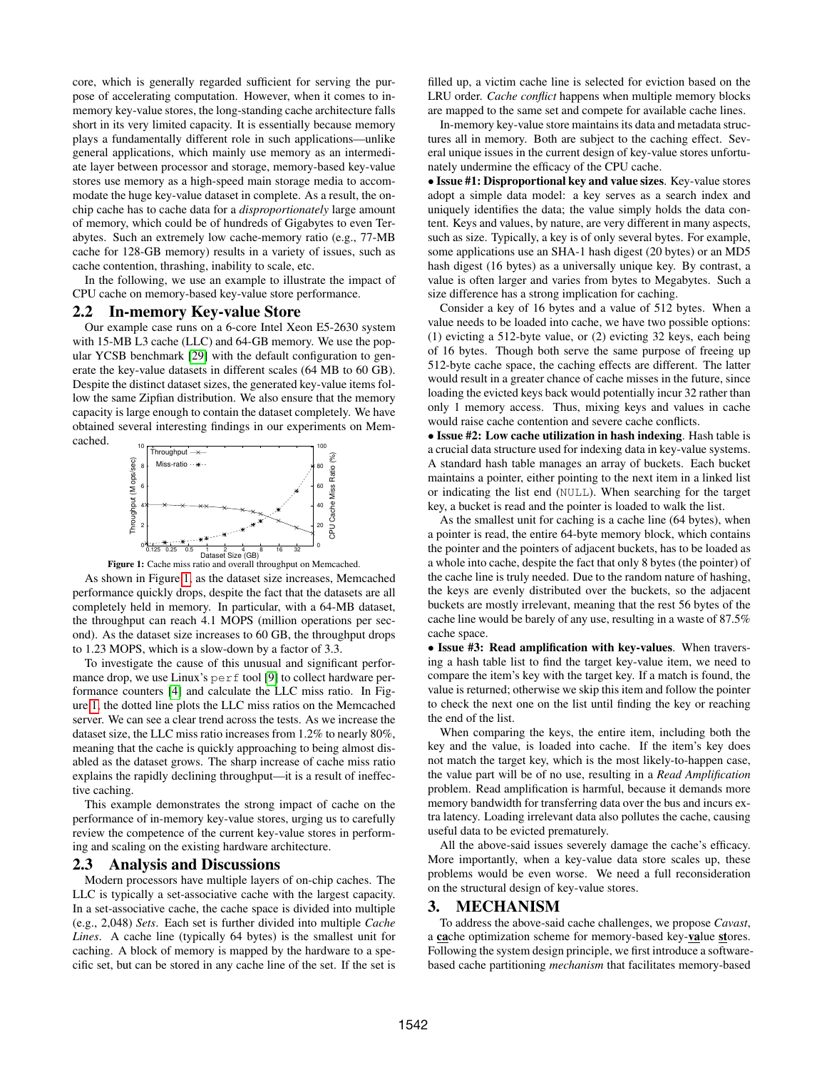core, which is generally regarded sufficient for serving the purpose of accelerating computation. However, when it comes to inmemory key-value stores, the long-standing cache architecture falls short in its very limited capacity. It is essentially because memory plays a fundamentally different role in such applications—unlike general applications, which mainly use memory as an intermediate layer between processor and storage, memory-based key-value stores use memory as a high-speed main storage media to accommodate the huge key-value dataset in complete. As a result, the onchip cache has to cache data for a *disproportionately* large amount of memory, which could be of hundreds of Gigabytes to even Terabytes. Such an extremely low cache-memory ratio (e.g., 77-MB cache for 128-GB memory) results in a variety of issues, such as cache contention, thrashing, inability to scale, etc.

In the following, we use an example to illustrate the impact of CPU cache on memory-based key-value store performance.

#### 2.2 In-memory Key-value Store

Our example case runs on a 6-core Intel Xeon E5-2630 system with 15-MB L3 cache (LLC) and 64-GB memory. We use the popular YCSB benchmark [\[29\]](#page-12-13) with the default configuration to generate the key-value datasets in different scales (64 MB to 60 GB). Despite the distinct dataset sizes, the generated key-value items follow the same Zipfian distribution. We also ensure that the memory capacity is large enough to contain the dataset completely. We have obtained several interesting findings in our experiments on Memcached.

<span id="page-2-1"></span>

Figure 1: Cache miss ratio and overall throughput on Memcached.

As shown in Figure [1,](#page-2-1) as the dataset size increases, Memcached performance quickly drops, despite the fact that the datasets are all completely held in memory. In particular, with a 64-MB dataset, the throughput can reach 4.1 MOPS (million operations per second). As the dataset size increases to 60 GB, the throughput drops to 1.23 MOPS, which is a slow-down by a factor of 3.3.

To investigate the cause of this unusual and significant perfor-mance drop, we use Linux's perf tool [\[9\]](#page-12-14) to collect hardware performance counters [\[4\]](#page-12-15) and calculate the LLC miss ratio. In Figure [1,](#page-2-1) the dotted line plots the LLC miss ratios on the Memcached server. We can see a clear trend across the tests. As we increase the dataset size, the LLC miss ratio increases from 1.2% to nearly 80%, meaning that the cache is quickly approaching to being almost disabled as the dataset grows. The sharp increase of cache miss ratio explains the rapidly declining throughput—it is a result of ineffective caching.

This example demonstrates the strong impact of cache on the performance of in-memory key-value stores, urging us to carefully review the competence of the current key-value stores in performing and scaling on the existing hardware architecture.

#### 2.3 Analysis and Discussions

Modern processors have multiple layers of on-chip caches. The LLC is typically a set-associative cache with the largest capacity. In a set-associative cache, the cache space is divided into multiple (e.g., 2,048) *Sets*. Each set is further divided into multiple *Cache Lines*. A cache line (typically 64 bytes) is the smallest unit for caching. A block of memory is mapped by the hardware to a specific set, but can be stored in any cache line of the set. If the set is

filled up, a victim cache line is selected for eviction based on the LRU order. *Cache conflict* happens when multiple memory blocks are mapped to the same set and compete for available cache lines.

In-memory key-value store maintains its data and metadata structures all in memory. Both are subject to the caching effect. Several unique issues in the current design of key-value stores unfortunately undermine the efficacy of the CPU cache.

• Issue #1: Disproportional key and value sizes. Key-value stores adopt a simple data model: a key serves as a search index and uniquely identifies the data; the value simply holds the data content. Keys and values, by nature, are very different in many aspects, such as size. Typically, a key is of only several bytes. For example, some applications use an SHA-1 hash digest (20 bytes) or an MD5 hash digest (16 bytes) as a universally unique key. By contrast, a value is often larger and varies from bytes to Megabytes. Such a size difference has a strong implication for caching.

Consider a key of 16 bytes and a value of 512 bytes. When a value needs to be loaded into cache, we have two possible options: (1) evicting a 512-byte value, or (2) evicting 32 keys, each being of 16 bytes. Though both serve the same purpose of freeing up 512-byte cache space, the caching effects are different. The latter would result in a greater chance of cache misses in the future, since loading the evicted keys back would potentially incur 32 rather than only 1 memory access. Thus, mixing keys and values in cache would raise cache contention and severe cache conflicts.

• Issue #2: Low cache utilization in hash indexing. Hash table is a crucial data structure used for indexing data in key-value systems. A standard hash table manages an array of buckets. Each bucket maintains a pointer, either pointing to the next item in a linked list or indicating the list end (NULL). When searching for the target key, a bucket is read and the pointer is loaded to walk the list.

As the smallest unit for caching is a cache line (64 bytes), when a pointer is read, the entire 64-byte memory block, which contains the pointer and the pointers of adjacent buckets, has to be loaded as a whole into cache, despite the fact that only 8 bytes (the pointer) of the cache line is truly needed. Due to the random nature of hashing, the keys are evenly distributed over the buckets, so the adjacent buckets are mostly irrelevant, meaning that the rest 56 bytes of the cache line would be barely of any use, resulting in a waste of 87.5% cache space.

• Issue #3: Read amplification with key-values. When traversing a hash table list to find the target key-value item, we need to compare the item's key with the target key. If a match is found, the value is returned; otherwise we skip this item and follow the pointer to check the next one on the list until finding the key or reaching the end of the list.

When comparing the keys, the entire item, including both the key and the value, is loaded into cache. If the item's key does not match the target key, which is the most likely-to-happen case, the value part will be of no use, resulting in a *Read Amplification* problem. Read amplification is harmful, because it demands more memory bandwidth for transferring data over the bus and incurs extra latency. Loading irrelevant data also pollutes the cache, causing useful data to be evicted prematurely.

All the above-said issues severely damage the cache's efficacy. More importantly, when a key-value data store scales up, these problems would be even worse. We need a full reconsideration on the structural design of key-value stores.

#### <span id="page-2-0"></span>3. MECHANISM

To address the above-said cache challenges, we propose *Cavast*, a cache optimization scheme for memory-based key-value stores. Following the system design principle, we first introduce a softwarebased cache partitioning *mechanism* that facilitates memory-based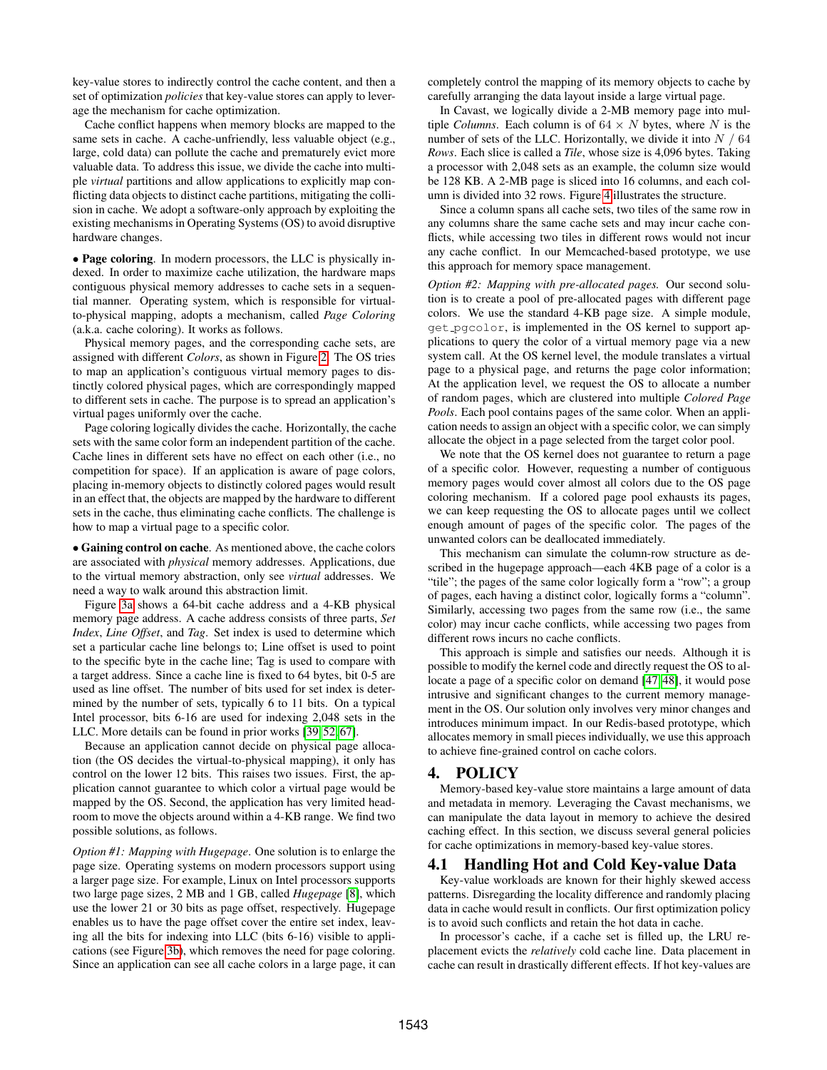key-value stores to indirectly control the cache content, and then a set of optimization *policies* that key-value stores can apply to leverage the mechanism for cache optimization.

Cache conflict happens when memory blocks are mapped to the same sets in cache. A cache-unfriendly, less valuable object (e.g., large, cold data) can pollute the cache and prematurely evict more valuable data. To address this issue, we divide the cache into multiple *virtual* partitions and allow applications to explicitly map conflicting data objects to distinct cache partitions, mitigating the collision in cache. We adopt a software-only approach by exploiting the existing mechanisms in Operating Systems (OS) to avoid disruptive hardware changes.

• Page coloring. In modern processors, the LLC is physically indexed. In order to maximize cache utilization, the hardware maps contiguous physical memory addresses to cache sets in a sequential manner. Operating system, which is responsible for virtualto-physical mapping, adopts a mechanism, called *Page Coloring* (a.k.a. cache coloring). It works as follows.

Physical memory pages, and the corresponding cache sets, are assigned with different *Colors*, as shown in Figure [2.](#page-4-0) The OS tries to map an application's contiguous virtual memory pages to distinctly colored physical pages, which are correspondingly mapped to different sets in cache. The purpose is to spread an application's virtual pages uniformly over the cache.

Page coloring logically divides the cache. Horizontally, the cache sets with the same color form an independent partition of the cache. Cache lines in different sets have no effect on each other (i.e., no competition for space). If an application is aware of page colors, placing in-memory objects to distinctly colored pages would result in an effect that, the objects are mapped by the hardware to different sets in the cache, thus eliminating cache conflicts. The challenge is how to map a virtual page to a specific color.

• Gaining control on cache. As mentioned above, the cache colors are associated with *physical* memory addresses. Applications, due to the virtual memory abstraction, only see *virtual* addresses. We need a way to walk around this abstraction limit.

Figure [3a](#page-4-0) shows a 64-bit cache address and a 4-KB physical memory page address. A cache address consists of three parts, *Set Index*, *Line Offset*, and *Tag*. Set index is used to determine which set a particular cache line belongs to; Line offset is used to point to the specific byte in the cache line; Tag is used to compare with a target address. Since a cache line is fixed to 64 bytes, bit 0-5 are used as line offset. The number of bits used for set index is determined by the number of sets, typically 6 to 11 bits. On a typical Intel processor, bits 6-16 are used for indexing 2,048 sets in the LLC. More details can be found in prior works [\[39,](#page-13-4) [52,](#page-13-5) [67\]](#page-13-6).

Because an application cannot decide on physical page allocation (the OS decides the virtual-to-physical mapping), it only has control on the lower 12 bits. This raises two issues. First, the application cannot guarantee to which color a virtual page would be mapped by the OS. Second, the application has very limited headroom to move the objects around within a 4-KB range. We find two possible solutions, as follows.

*Option #1: Mapping with Hugepage*. One solution is to enlarge the page size. Operating systems on modern processors support using a larger page size. For example, Linux on Intel processors supports two large page sizes, 2 MB and 1 GB, called *Hugepage* [\[8\]](#page-12-16), which use the lower 21 or 30 bits as page offset, respectively. Hugepage enables us to have the page offset cover the entire set index, leaving all the bits for indexing into LLC (bits 6-16) visible to applications (see Figure [3b\)](#page-4-0), which removes the need for page coloring. Since an application can see all cache colors in a large page, it can completely control the mapping of its memory objects to cache by carefully arranging the data layout inside a large virtual page.

In Cavast, we logically divide a 2-MB memory page into multiple *Columns*. Each column is of  $64 \times N$  bytes, where N is the number of sets of the LLC. Horizontally, we divide it into  $N/64$ *Rows*. Each slice is called a *Tile*, whose size is 4,096 bytes. Taking a processor with 2,048 sets as an example, the column size would be 128 KB. A 2-MB page is sliced into 16 columns, and each column is divided into 32 rows. Figure [4](#page-4-0) illustrates the structure.

Since a column spans all cache sets, two tiles of the same row in any columns share the same cache sets and may incur cache conflicts, while accessing two tiles in different rows would not incur any cache conflict. In our Memcached-based prototype, we use this approach for memory space management.

*Option #2: Mapping with pre-allocated pages.* Our second solution is to create a pool of pre-allocated pages with different page colors. We use the standard 4-KB page size. A simple module, get pgcolor, is implemented in the OS kernel to support applications to query the color of a virtual memory page via a new system call. At the OS kernel level, the module translates a virtual page to a physical page, and returns the page color information; At the application level, we request the OS to allocate a number of random pages, which are clustered into multiple *Colored Page Pools*. Each pool contains pages of the same color. When an application needs to assign an object with a specific color, we can simply allocate the object in a page selected from the target color pool.

We note that the OS kernel does not guarantee to return a page of a specific color. However, requesting a number of contiguous memory pages would cover almost all colors due to the OS page coloring mechanism. If a colored page pool exhausts its pages, we can keep requesting the OS to allocate pages until we collect enough amount of pages of the specific color. The pages of the unwanted colors can be deallocated immediately.

This mechanism can simulate the column-row structure as described in the hugepage approach—each 4KB page of a color is a "tile"; the pages of the same color logically form a "row"; a group of pages, each having a distinct color, logically forms a "column". Similarly, accessing two pages from the same row (i.e., the same color) may incur cache conflicts, while accessing two pages from different rows incurs no cache conflicts.

This approach is simple and satisfies our needs. Although it is possible to modify the kernel code and directly request the OS to allocate a page of a specific color on demand [\[47,](#page-13-7) [48\]](#page-13-8), it would pose intrusive and significant changes to the current memory management in the OS. Our solution only involves very minor changes and introduces minimum impact. In our Redis-based prototype, which allocates memory in small pieces individually, we use this approach to achieve fine-grained control on cache colors.

## <span id="page-3-0"></span>4. POLICY

Memory-based key-value store maintains a large amount of data and metadata in memory. Leveraging the Cavast mechanisms, we can manipulate the data layout in memory to achieve the desired caching effect. In this section, we discuss several general policies for cache optimizations in memory-based key-value stores.

#### <span id="page-3-1"></span>4.1 Handling Hot and Cold Key-value Data

Key-value workloads are known for their highly skewed access patterns. Disregarding the locality difference and randomly placing data in cache would result in conflicts. Our first optimization policy is to avoid such conflicts and retain the hot data in cache.

In processor's cache, if a cache set is filled up, the LRU replacement evicts the *relatively* cold cache line. Data placement in cache can result in drastically different effects. If hot key-values are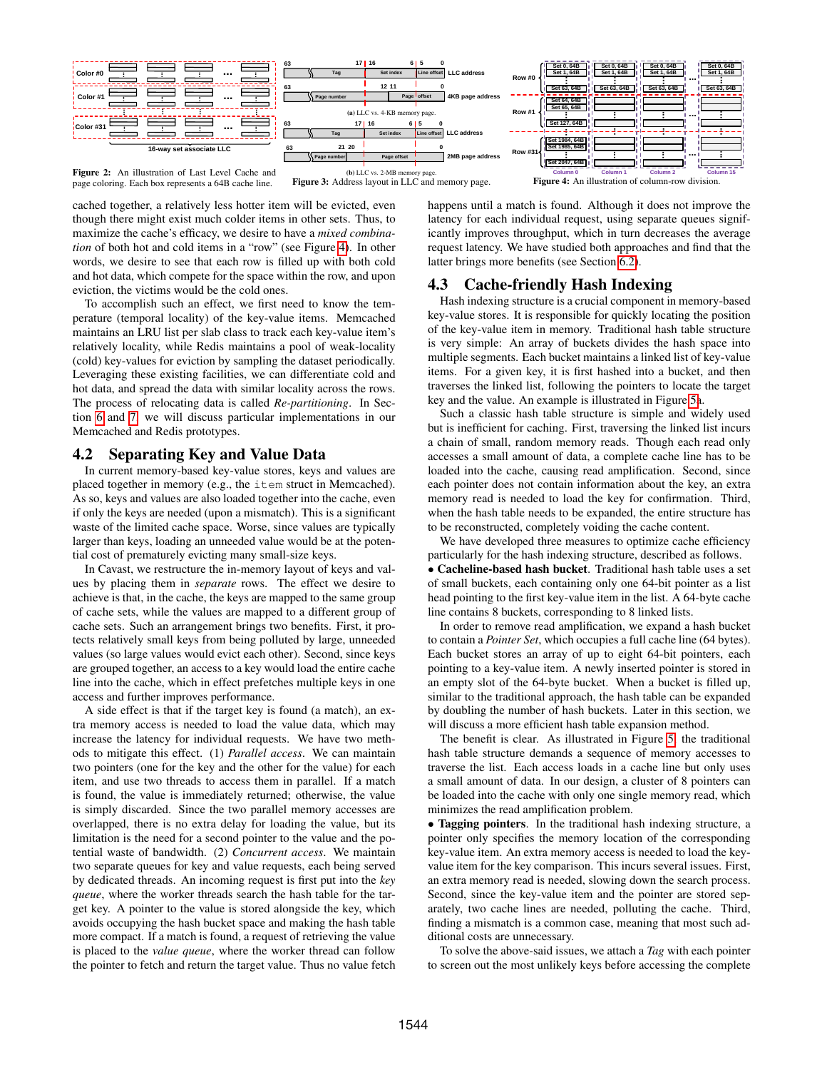<span id="page-4-0"></span>

page coloring. Each box represents a 64B cache line.

cached together, a relatively less hotter item will be evicted, even though there might exist much colder items in other sets. Thus, to maximize the cache's efficacy, we desire to have a *mixed combination* of both hot and cold items in a "row" (see Figure [4\)](#page-4-0). In other words, we desire to see that each row is filled up with both cold and hot data, which compete for the space within the row, and upon eviction, the victims would be the cold ones.

To accomplish such an effect, we first need to know the temperature (temporal locality) of the key-value items. Memcached maintains an LRU list per slab class to track each key-value item's relatively locality, while Redis maintains a pool of weak-locality (cold) key-values for eviction by sampling the dataset periodically. Leveraging these existing facilities, we can differentiate cold and hot data, and spread the data with similar locality across the rows. The process of relocating data is called *Re-partitioning*. In Section [6](#page-6-0) and [7,](#page-9-0) we will discuss particular implementations in our Memcached and Redis prototypes.

# <span id="page-4-1"></span>4.2 Separating Key and Value Data

In current memory-based key-value stores, keys and values are placed together in memory (e.g., the item struct in Memcached). As so, keys and values are also loaded together into the cache, even if only the keys are needed (upon a mismatch). This is a significant waste of the limited cache space. Worse, since values are typically larger than keys, loading an unneeded value would be at the potential cost of prematurely evicting many small-size keys.

In Cavast, we restructure the in-memory layout of keys and values by placing them in *separate* rows. The effect we desire to achieve is that, in the cache, the keys are mapped to the same group of cache sets, while the values are mapped to a different group of cache sets. Such an arrangement brings two benefits. First, it protects relatively small keys from being polluted by large, unneeded values (so large values would evict each other). Second, since keys are grouped together, an access to a key would load the entire cache line into the cache, which in effect prefetches multiple keys in one access and further improves performance.

A side effect is that if the target key is found (a match), an extra memory access is needed to load the value data, which may increase the latency for individual requests. We have two methods to mitigate this effect. (1) *Parallel access*. We can maintain two pointers (one for the key and the other for the value) for each item, and use two threads to access them in parallel. If a match is found, the value is immediately returned; otherwise, the value is simply discarded. Since the two parallel memory accesses are overlapped, there is no extra delay for loading the value, but its limitation is the need for a second pointer to the value and the potential waste of bandwidth. (2) *Concurrent access*. We maintain two separate queues for key and value requests, each being served by dedicated threads. An incoming request is first put into the *key queue*, where the worker threads search the hash table for the target key. A pointer to the value is stored alongside the key, which avoids occupying the hash bucket space and making the hash table more compact. If a match is found, a request of retrieving the value is placed to the *value queue*, where the worker thread can follow the pointer to fetch and return the target value. Thus no value fetch

Figure 4: An illustration of column-row division.

happens until a match is found. Although it does not improve the latency for each individual request, using separate queues significantly improves throughput, which in turn decreases the average request latency. We have studied both approaches and find that the latter brings more benefits (see Section [6.2\)](#page-7-0).

# <span id="page-4-2"></span>4.3 Cache-friendly Hash Indexing

Hash indexing structure is a crucial component in memory-based key-value stores. It is responsible for quickly locating the position of the key-value item in memory. Traditional hash table structure is very simple: An array of buckets divides the hash space into multiple segments. Each bucket maintains a linked list of key-value items. For a given key, it is first hashed into a bucket, and then traverses the linked list, following the pointers to locate the target key and the value. An example is illustrated in Figure [5a](#page-5-1).

Such a classic hash table structure is simple and widely used but is inefficient for caching. First, traversing the linked list incurs a chain of small, random memory reads. Though each read only accesses a small amount of data, a complete cache line has to be loaded into the cache, causing read amplification. Second, since each pointer does not contain information about the key, an extra memory read is needed to load the key for confirmation. Third, when the hash table needs to be expanded, the entire structure has to be reconstructed, completely voiding the cache content.

We have developed three measures to optimize cache efficiency particularly for the hash indexing structure, described as follows.

• Cacheline-based hash bucket. Traditional hash table uses a set of small buckets, each containing only one 64-bit pointer as a list head pointing to the first key-value item in the list. A 64-byte cache line contains 8 buckets, corresponding to 8 linked lists.

In order to remove read amplification, we expand a hash bucket to contain a *Pointer Set*, which occupies a full cache line (64 bytes). Each bucket stores an array of up to eight 64-bit pointers, each pointing to a key-value item. A newly inserted pointer is stored in an empty slot of the 64-byte bucket. When a bucket is filled up, similar to the traditional approach, the hash table can be expanded by doubling the number of hash buckets. Later in this section, we will discuss a more efficient hash table expansion method.

The benefit is clear. As illustrated in Figure [5,](#page-5-1) the traditional hash table structure demands a sequence of memory accesses to traverse the list. Each access loads in a cache line but only uses a small amount of data. In our design, a cluster of 8 pointers can be loaded into the cache with only one single memory read, which minimizes the read amplification problem.

• Tagging pointers. In the traditional hash indexing structure, a pointer only specifies the memory location of the corresponding key-value item. An extra memory access is needed to load the keyvalue item for the key comparison. This incurs several issues. First, an extra memory read is needed, slowing down the search process. Second, since the key-value item and the pointer are stored separately, two cache lines are needed, polluting the cache. Third, finding a mismatch is a common case, meaning that most such additional costs are unnecessary.

To solve the above-said issues, we attach a *Tag* with each pointer to screen out the most unlikely keys before accessing the complete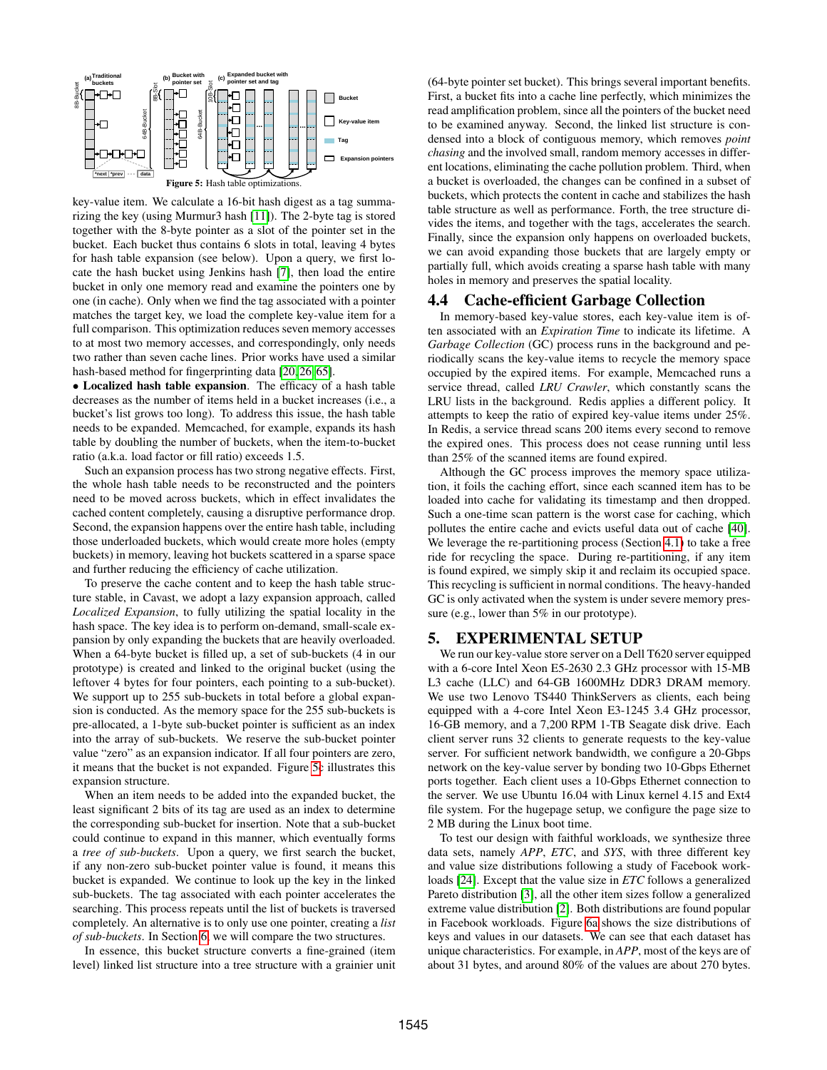<span id="page-5-1"></span>

key-value item. We calculate a 16-bit hash digest as a tag summarizing the key (using Murmur3 hash [\[11\]](#page-12-17)). The 2-byte tag is stored together with the 8-byte pointer as a slot of the pointer set in the bucket. Each bucket thus contains 6 slots in total, leaving 4 bytes for hash table expansion (see below). Upon a query, we first locate the hash bucket using Jenkins hash [\[7\]](#page-12-18), then load the entire bucket in only one memory read and examine the pointers one by one (in cache). Only when we find the tag associated with a pointer matches the target key, we load the complete key-value item for a full comparison. This optimization reduces seven memory accesses to at most two memory accesses, and correspondingly, only needs two rather than seven cache lines. Prior works have used a similar hash-based method for fingerprinting data [\[20,](#page-12-19) [26,](#page-12-20) [65\]](#page-13-9).

• Localized hash table expansion. The efficacy of a hash table decreases as the number of items held in a bucket increases (i.e., a bucket's list grows too long). To address this issue, the hash table needs to be expanded. Memcached, for example, expands its hash table by doubling the number of buckets, when the item-to-bucket ratio (a.k.a. load factor or fill ratio) exceeds 1.5.

Such an expansion process has two strong negative effects. First, the whole hash table needs to be reconstructed and the pointers need to be moved across buckets, which in effect invalidates the cached content completely, causing a disruptive performance drop. Second, the expansion happens over the entire hash table, including those underloaded buckets, which would create more holes (empty buckets) in memory, leaving hot buckets scattered in a sparse space and further reducing the efficiency of cache utilization.

To preserve the cache content and to keep the hash table structure stable, in Cavast, we adopt a lazy expansion approach, called *Localized Expansion*, to fully utilizing the spatial locality in the hash space. The key idea is to perform on-demand, small-scale expansion by only expanding the buckets that are heavily overloaded. When a 64-byte bucket is filled up, a set of sub-buckets (4 in our prototype) is created and linked to the original bucket (using the leftover 4 bytes for four pointers, each pointing to a sub-bucket). We support up to 255 sub-buckets in total before a global expansion is conducted. As the memory space for the 255 sub-buckets is pre-allocated, a 1-byte sub-bucket pointer is sufficient as an index into the array of sub-buckets. We reserve the sub-bucket pointer value "zero" as an expansion indicator. If all four pointers are zero, it means that the bucket is not expanded. Figure [5c](#page-5-1) illustrates this expansion structure.

When an item needs to be added into the expanded bucket, the least significant 2 bits of its tag are used as an index to determine the corresponding sub-bucket for insertion. Note that a sub-bucket could continue to expand in this manner, which eventually forms a *tree of sub-buckets*. Upon a query, we first search the bucket, if any non-zero sub-bucket pointer value is found, it means this bucket is expanded. We continue to look up the key in the linked sub-buckets. The tag associated with each pointer accelerates the searching. This process repeats until the list of buckets is traversed completely. An alternative is to only use one pointer, creating a *list of sub-buckets*. In Section [6,](#page-6-0) we will compare the two structures.

In essence, this bucket structure converts a fine-grained (item level) linked list structure into a tree structure with a grainier unit (64-byte pointer set bucket). This brings several important benefits. First, a bucket fits into a cache line perfectly, which minimizes the read amplification problem, since all the pointers of the bucket need to be examined anyway. Second, the linked list structure is condensed into a block of contiguous memory, which removes *point chasing* and the involved small, random memory accesses in different locations, eliminating the cache pollution problem. Third, when a bucket is overloaded, the changes can be confined in a subset of buckets, which protects the content in cache and stabilizes the hash table structure as well as performance. Forth, the tree structure divides the items, and together with the tags, accelerates the search. Finally, since the expansion only happens on overloaded buckets, we can avoid expanding those buckets that are largely empty or partially full, which avoids creating a sparse hash table with many holes in memory and preserves the spatial locality.

#### 4.4 Cache-efficient Garbage Collection

In memory-based key-value stores, each key-value item is often associated with an *Expiration Time* to indicate its lifetime. A *Garbage Collection* (GC) process runs in the background and periodically scans the key-value items to recycle the memory space occupied by the expired items. For example, Memcached runs a service thread, called *LRU Crawler*, which constantly scans the LRU lists in the background. Redis applies a different policy. It attempts to keep the ratio of expired key-value items under 25%. In Redis, a service thread scans 200 items every second to remove the expired ones. This process does not cease running until less than 25% of the scanned items are found expired.

Although the GC process improves the memory space utilization, it foils the caching effort, since each scanned item has to be loaded into cache for validating its timestamp and then dropped. Such a one-time scan pattern is the worst case for caching, which pollutes the entire cache and evicts useful data out of cache [\[40\]](#page-13-10). We leverage the re-partitioning process (Section [4.1\)](#page-3-1) to take a free ride for recycling the space. During re-partitioning, if any item is found expired, we simply skip it and reclaim its occupied space. This recycling is sufficient in normal conditions. The heavy-handed GC is only activated when the system is under severe memory pressure (e.g., lower than 5% in our prototype).

## <span id="page-5-0"></span>5. EXPERIMENTAL SETUP

We run our key-value store server on a Dell T620 server equipped with a 6-core Intel Xeon E5-2630 2.3 GHz processor with 15-MB L3 cache (LLC) and 64-GB 1600MHz DDR3 DRAM memory. We use two Lenovo TS440 ThinkServers as clients, each being equipped with a 4-core Intel Xeon E3-1245 3.4 GHz processor, 16-GB memory, and a 7,200 RPM 1-TB Seagate disk drive. Each client server runs 32 clients to generate requests to the key-value server. For sufficient network bandwidth, we configure a 20-Gbps network on the key-value server by bonding two 10-Gbps Ethernet ports together. Each client uses a 10-Gbps Ethernet connection to the server. We use Ubuntu 16.04 with Linux kernel 4.15 and Ext4 file system. For the hugepage setup, we configure the page size to 2 MB during the Linux boot time.

To test our design with faithful workloads, we synthesize three data sets, namely *APP*, *ETC*, and *SYS*, with three different key and value size distributions following a study of Facebook workloads [\[24\]](#page-12-10). Except that the value size in *ETC* follows a generalized Pareto distribution [\[3\]](#page-12-21), all the other item sizes follow a generalized extreme value distribution [\[2\]](#page-12-22). Both distributions are found popular in Facebook workloads. Figure [6a](#page-7-1) shows the size distributions of keys and values in our datasets. We can see that each dataset has unique characteristics. For example, in *APP*, most of the keys are of about 31 bytes, and around 80% of the values are about 270 bytes.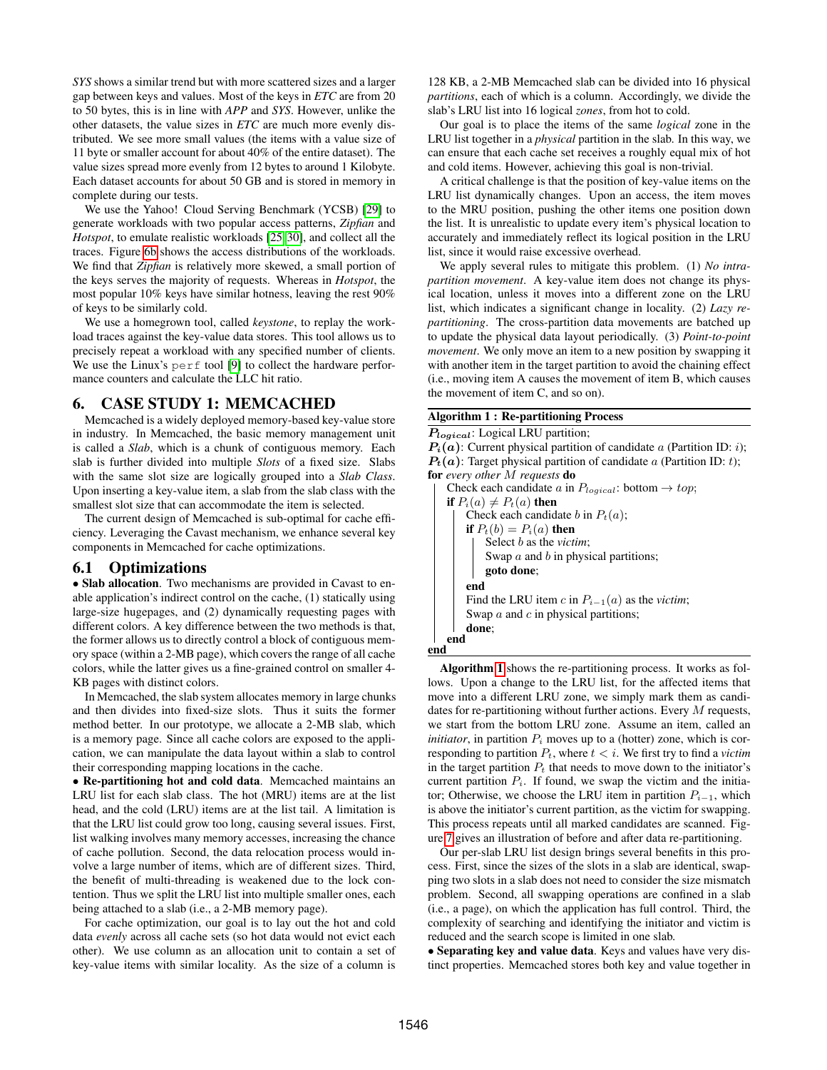*SYS* shows a similar trend but with more scattered sizes and a larger gap between keys and values. Most of the keys in *ETC* are from 20 to 50 bytes, this is in line with *APP* and *SYS*. However, unlike the other datasets, the value sizes in *ETC* are much more evenly distributed. We see more small values (the items with a value size of 11 byte or smaller account for about 40% of the entire dataset). The value sizes spread more evenly from 12 bytes to around 1 Kilobyte. Each dataset accounts for about 50 GB and is stored in memory in complete during our tests.

We use the Yahoo! Cloud Serving Benchmark (YCSB) [\[29\]](#page-12-13) to generate workloads with two popular access patterns, *Zipfian* and *Hotspot*, to emulate realistic workloads [\[25,](#page-12-23) [30\]](#page-12-24), and collect all the traces. Figure [6b](#page-7-1) shows the access distributions of the workloads. We find that *Zipfian* is relatively more skewed, a small portion of the keys serves the majority of requests. Whereas in *Hotspot*, the most popular 10% keys have similar hotness, leaving the rest 90% of keys to be similarly cold.

We use a homegrown tool, called *keystone*, to replay the workload traces against the key-value data stores. This tool allows us to precisely repeat a workload with any specified number of clients. We use the Linux's perf tool [\[9\]](#page-12-14) to collect the hardware performance counters and calculate the LLC hit ratio.

## <span id="page-6-0"></span>6. CASE STUDY 1: MEMCACHED

Memcached is a widely deployed memory-based key-value store in industry. In Memcached, the basic memory management unit is called a *Slab*, which is a chunk of contiguous memory. Each slab is further divided into multiple *Slots* of a fixed size. Slabs with the same slot size are logically grouped into a *Slab Class*. Upon inserting a key-value item, a slab from the slab class with the smallest slot size that can accommodate the item is selected.

The current design of Memcached is sub-optimal for cache efficiency. Leveraging the Cavast mechanism, we enhance several key components in Memcached for cache optimizations.

## <span id="page-6-2"></span>6.1 Optimizations

• Slab allocation. Two mechanisms are provided in Cavast to enable application's indirect control on the cache, (1) statically using large-size hugepages, and (2) dynamically requesting pages with different colors. A key difference between the two methods is that, the former allows us to directly control a block of contiguous memory space (within a 2-MB page), which covers the range of all cache colors, while the latter gives us a fine-grained control on smaller 4- KB pages with distinct colors.

In Memcached, the slab system allocates memory in large chunks and then divides into fixed-size slots. Thus it suits the former method better. In our prototype, we allocate a 2-MB slab, which is a memory page. Since all cache colors are exposed to the application, we can manipulate the data layout within a slab to control their corresponding mapping locations in the cache.

• Re-partitioning hot and cold data. Memcached maintains an LRU list for each slab class. The hot (MRU) items are at the list head, and the cold (LRU) items are at the list tail. A limitation is that the LRU list could grow too long, causing several issues. First, list walking involves many memory accesses, increasing the chance of cache pollution. Second, the data relocation process would involve a large number of items, which are of different sizes. Third, the benefit of multi-threading is weakened due to the lock contention. Thus we split the LRU list into multiple smaller ones, each being attached to a slab (i.e., a 2-MB memory page).

For cache optimization, our goal is to lay out the hot and cold data *evenly* across all cache sets (so hot data would not evict each other). We use column as an allocation unit to contain a set of key-value items with similar locality. As the size of a column is

128 KB, a 2-MB Memcached slab can be divided into 16 physical *partitions*, each of which is a column. Accordingly, we divide the slab's LRU list into 16 logical *zones*, from hot to cold.

Our goal is to place the items of the same *logical* zone in the LRU list together in a *physical* partition in the slab. In this way, we can ensure that each cache set receives a roughly equal mix of hot and cold items. However, achieving this goal is non-trivial.

A critical challenge is that the position of key-value items on the LRU list dynamically changes. Upon an access, the item moves to the MRU position, pushing the other items one position down the list. It is unrealistic to update every item's physical location to accurately and immediately reflect its logical position in the LRU list, since it would raise excessive overhead.

We apply several rules to mitigate this problem. (1) *No intrapartition movement*. A key-value item does not change its physical location, unless it moves into a different zone on the LRU list, which indicates a significant change in locality. (2) *Lazy repartitioning*. The cross-partition data movements are batched up to update the physical data layout periodically. (3) *Point-to-point movement*. We only move an item to a new position by swapping it with another item in the target partition to avoid the chaining effect (i.e., moving item A causes the movement of item B, which causes the movement of item C, and so on).

#### <span id="page-6-1"></span>Algorithm 1 : Re-partitioning Process

Plogical: Logical LRU partition;  $P_i(a)$ : Current physical partition of candidate a (Partition ID: *i*);  $P_t(a)$ : Target physical partition of candidate a (Partition ID: t); for *every other* M *requests* do Check each candidate a in  $P_{logical}$ : bottom  $\rightarrow top$ ; if  $P_i(a) \neq P_t(a)$  then Check each candidate b in  $P_t(a)$ ; if  $P_t(b) = P_i(a)$  then Select b as the *victim*; Swap  $a$  and  $b$  in physical partitions; goto done; end Find the LRU item c in  $P_{i-1}(a)$  as the *victim*; Swap  $a$  and  $c$  in physical partitions;

done; end

end

Algorithm [1](#page-6-1) shows the re-partitioning process. It works as follows. Upon a change to the LRU list, for the affected items that move into a different LRU zone, we simply mark them as candidates for re-partitioning without further actions. Every  $M$  requests, we start from the bottom LRU zone. Assume an item, called an *initiator*, in partition  $P_i$  moves up to a (hotter) zone, which is corresponding to partition  $P_t$ , where  $t < i$ . We first try to find a *victim* in the target partition  $P_t$  that needs to move down to the initiator's current partition  $P_i$ . If found, we swap the victim and the initiator; Otherwise, we choose the LRU item in partition  $P_{i-1}$ , which is above the initiator's current partition, as the victim for swapping. This process repeats until all marked candidates are scanned. Figure [7](#page-7-1) gives an illustration of before and after data re-partitioning.

Our per-slab LRU list design brings several benefits in this process. First, since the sizes of the slots in a slab are identical, swapping two slots in a slab does not need to consider the size mismatch problem. Second, all swapping operations are confined in a slab (i.e., a page), on which the application has full control. Third, the complexity of searching and identifying the initiator and victim is reduced and the search scope is limited in one slab.

• Separating key and value data. Keys and values have very distinct properties. Memcached stores both key and value together in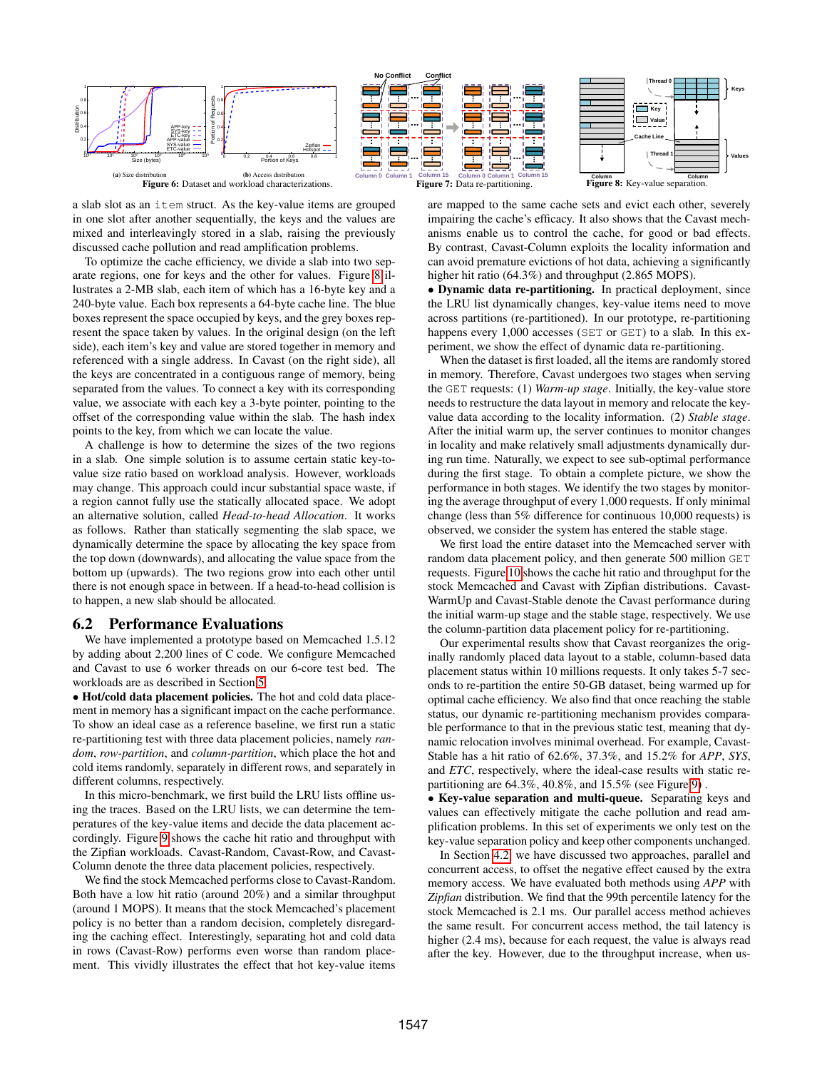<span id="page-7-1"></span>

Figure 6: Dataset and workload characterizations.

a slab slot as an item struct. As the key-value items are grouped in one slot after another sequentially, the keys and the values are mixed and interleavingly stored in a slab, raising the previously discussed cache pollution and read amplification problems.

To optimize the cache efficiency, we divide a slab into two separate regions, one for keys and the other for values. Figure [8](#page-7-1) illustrates a 2-MB slab, each item of which has a 16-byte key and a 240-byte value. Each box represents a 64-byte cache line. The blue boxes represent the space occupied by keys, and the grey boxes represent the space taken by values. In the original design (on the left side), each item's key and value are stored together in memory and referenced with a single address. In Cavast (on the right side), all the keys are concentrated in a contiguous range of memory, being separated from the values. To connect a key with its corresponding value, we associate with each key a 3-byte pointer, pointing to the offset of the corresponding value within the slab. The hash index points to the key, from which we can locate the value.

A challenge is how to determine the sizes of the two regions in a slab. One simple solution is to assume certain static key-tovalue size ratio based on workload analysis. However, workloads may change. This approach could incur substantial space waste, if a region cannot fully use the statically allocated space. We adopt an alternative solution, called *Head-to-head Allocation*. It works as follows. Rather than statically segmenting the slab space, we dynamically determine the space by allocating the key space from the top down (downwards), and allocating the value space from the bottom up (upwards). The two regions grow into each other until there is not enough space in between. If a head-to-head collision is to happen, a new slab should be allocated.

#### <span id="page-7-0"></span>6.2 Performance Evaluations

We have implemented a prototype based on Memcached 1.5.12 by adding about 2,200 lines of C code. We configure Memcached and Cavast to use 6 worker threads on our 6-core test bed. The workloads are as described in Section [5.](#page-5-0)

• Hot/cold data placement policies. The hot and cold data placement in memory has a significant impact on the cache performance. To show an ideal case as a reference baseline, we first run a static re-partitioning test with three data placement policies, namely *random*, *row-partition*, and *column-partition*, which place the hot and cold items randomly, separately in different rows, and separately in different columns, respectively.

In this micro-benchmark, we first build the LRU lists offline using the traces. Based on the LRU lists, we can determine the temperatures of the key-value items and decide the data placement accordingly. Figure [9](#page-8-0) shows the cache hit ratio and throughput with the Zipfian workloads. Cavast-Random, Cavast-Row, and Cavast-Column denote the three data placement policies, respectively.

We find the stock Memcached performs close to Cavast-Random. Both have a low hit ratio (around 20%) and a similar throughput (around 1 MOPS). It means that the stock Memcached's placement policy is no better than a random decision, completely disregarding the caching effect. Interestingly, separating hot and cold data in rows (Cavast-Row) performs even worse than random placement. This vividly illustrates the effect that hot key-value items

Figure 7: Data re-partitioning. Column<br>**Figure 8:** Key-value separation. are mapped to the same cache sets and evict each other, severely

impairing the cache's efficacy. It also shows that the Cavast mechanisms enable us to control the cache, for good or bad effects. By contrast, Cavast-Column exploits the locality information and can avoid premature evictions of hot data, achieving a significantly higher hit ratio (64.3%) and throughput (2.865 MOPS).

• Dynamic data re-partitioning. In practical deployment, since the LRU list dynamically changes, key-value items need to move across partitions (re-partitioned). In our prototype, re-partitioning happens every 1,000 accesses (SET or GET) to a slab. In this experiment, we show the effect of dynamic data re-partitioning.

When the dataset is first loaded, all the items are randomly stored in memory. Therefore, Cavast undergoes two stages when serving the GET requests: (1) *Warm-up stage*. Initially, the key-value store needs to restructure the data layout in memory and relocate the keyvalue data according to the locality information. (2) *Stable stage*. After the initial warm up, the server continues to monitor changes in locality and make relatively small adjustments dynamically during run time. Naturally, we expect to see sub-optimal performance during the first stage. To obtain a complete picture, we show the performance in both stages. We identify the two stages by monitoring the average throughput of every 1,000 requests. If only minimal change (less than 5% difference for continuous 10,000 requests) is observed, we consider the system has entered the stable stage.

We first load the entire dataset into the Memcached server with random data placement policy, and then generate 500 million GET requests. Figure [10](#page-8-0) shows the cache hit ratio and throughput for the stock Memcached and Cavast with Zipfian distributions. Cavast-WarmUp and Cavast-Stable denote the Cavast performance during the initial warm-up stage and the stable stage, respectively. We use the column-partition data placement policy for re-partitioning.

Our experimental results show that Cavast reorganizes the originally randomly placed data layout to a stable, column-based data placement status within 10 millions requests. It only takes 5-7 seconds to re-partition the entire 50-GB dataset, being warmed up for optimal cache efficiency. We also find that once reaching the stable status, our dynamic re-partitioning mechanism provides comparable performance to that in the previous static test, meaning that dynamic relocation involves minimal overhead. For example, Cavast-Stable has a hit ratio of 62.6%, 37.3%, and 15.2% for *APP*, *SYS*, and *ETC*, respectively, where the ideal-case results with static repartitioning are 64.3%, 40.8%, and 15.5% (see Figure [9\)](#page-8-0) .

• Key-value separation and multi-queue. Separating keys and values can effectively mitigate the cache pollution and read amplification problems. In this set of experiments we only test on the key-value separation policy and keep other components unchanged.

In Section [4.2,](#page-4-1) we have discussed two approaches, parallel and concurrent access, to offset the negative effect caused by the extra memory access. We have evaluated both methods using *APP* with *Zipfian* distribution. We find that the 99th percentile latency for the stock Memcached is 2.1 ms. Our parallel access method achieves the same result. For concurrent access method, the tail latency is higher (2.4 ms), because for each request, the value is always read after the key. However, due to the throughput increase, when us-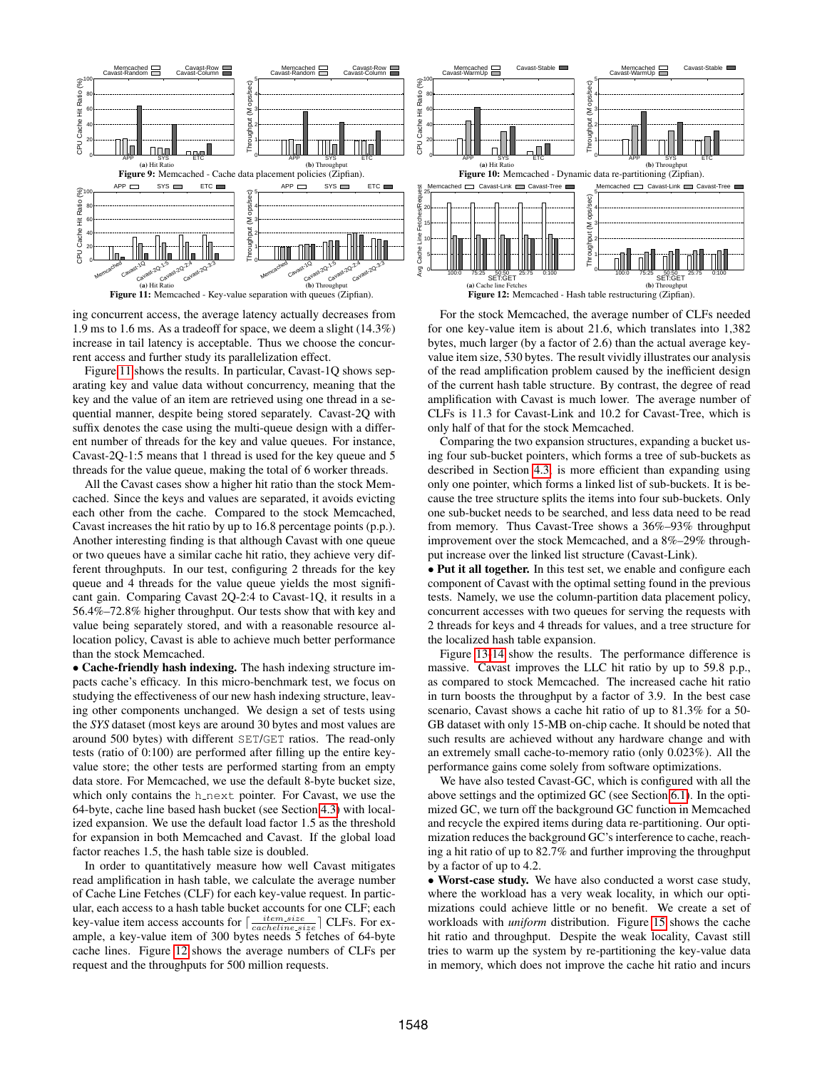<span id="page-8-1"></span><span id="page-8-0"></span>

ing concurrent access, the average latency actually decreases from 1.9 ms to 1.6 ms. As a tradeoff for space, we deem a slight (14.3%) increase in tail latency is acceptable. Thus we choose the concurrent access and further study its parallelization effect.

Figure [11](#page-8-1) shows the results. In particular, Cavast-1Q shows separating key and value data without concurrency, meaning that the key and the value of an item are retrieved using one thread in a sequential manner, despite being stored separately. Cavast-2Q with suffix denotes the case using the multi-queue design with a different number of threads for the key and value queues. For instance, Cavast-2Q-1:5 means that 1 thread is used for the key queue and 5 threads for the value queue, making the total of 6 worker threads.

All the Cavast cases show a higher hit ratio than the stock Memcached. Since the keys and values are separated, it avoids evicting each other from the cache. Compared to the stock Memcached, Cavast increases the hit ratio by up to 16.8 percentage points (p.p.). Another interesting finding is that although Cavast with one queue or two queues have a similar cache hit ratio, they achieve very different throughputs. In our test, configuring 2 threads for the key queue and 4 threads for the value queue yields the most significant gain. Comparing Cavast 2Q-2:4 to Cavast-1Q, it results in a 56.4%–72.8% higher throughput. Our tests show that with key and value being separately stored, and with a reasonable resource allocation policy, Cavast is able to achieve much better performance than the stock Memcached.

• Cache-friendly hash indexing. The hash indexing structure impacts cache's efficacy. In this micro-benchmark test, we focus on studying the effectiveness of our new hash indexing structure, leaving other components unchanged. We design a set of tests using the *SYS* dataset (most keys are around 30 bytes and most values are around 500 bytes) with different SET/GET ratios. The read-only tests (ratio of 0:100) are performed after filling up the entire keyvalue store; the other tests are performed starting from an empty data store. For Memcached, we use the default 8-byte bucket size, which only contains the h\_next pointer. For Cavast, we use the 64-byte, cache line based hash bucket (see Section [4.3\)](#page-4-2) with localized expansion. We use the default load factor 1.5 as the threshold for expansion in both Memcached and Cavast. If the global load factor reaches 1.5, the hash table size is doubled.

In order to quantitatively measure how well Cavast mitigates read amplification in hash table, we calculate the average number of Cache Line Fetches (CLF) for each key-value request. In particular, each access to a hash table bucket accounts for one CLF; each key-value item access accounts for  $\lceil \frac{item.size}{cache line.size} \rceil$  CLFs. For example, a key-value item of 300 bytes needs 5 fetches of 64-byte cache lines. Figure [12](#page-8-1) shows the average numbers of CLFs per request and the throughputs for 500 million requests.



For the stock Memcached, the average number of CLFs needed for one key-value item is about 21.6, which translates into 1,382 bytes, much larger (by a factor of 2.6) than the actual average keyvalue item size, 530 bytes. The result vividly illustrates our analysis of the read amplification problem caused by the inefficient design of the current hash table structure. By contrast, the degree of read amplification with Cavast is much lower. The average number of CLFs is 11.3 for Cavast-Link and 10.2 for Cavast-Tree, which is only half of that for the stock Memcached.

Comparing the two expansion structures, expanding a bucket using four sub-bucket pointers, which forms a tree of sub-buckets as described in Section [4.3,](#page-4-2) is more efficient than expanding using only one pointer, which forms a linked list of sub-buckets. It is because the tree structure splits the items into four sub-buckets. Only one sub-bucket needs to be searched, and less data need to be read from memory. Thus Cavast-Tree shows a 36%–93% throughput improvement over the stock Memcached, and a 8%–29% throughput increase over the linked list structure (Cavast-Link).

• Put it all together. In this test set, we enable and configure each component of Cavast with the optimal setting found in the previous tests. Namely, we use the column-partition data placement policy, concurrent accesses with two queues for serving the requests with 2 threads for keys and 4 threads for values, and a tree structure for the localized hash table expansion.

Figure [13-14](#page-9-1) show the results. The performance difference is massive. Cavast improves the LLC hit ratio by up to 59.8 p.p., as compared to stock Memcached. The increased cache hit ratio in turn boosts the throughput by a factor of 3.9. In the best case scenario, Cavast shows a cache hit ratio of up to 81.3% for a 50- GB dataset with only 15-MB on-chip cache. It should be noted that such results are achieved without any hardware change and with an extremely small cache-to-memory ratio (only 0.023%). All the performance gains come solely from software optimizations.

We have also tested Cavast-GC, which is configured with all the above settings and the optimized GC (see Section [6.1\)](#page-6-2). In the optimized GC, we turn off the background GC function in Memcached and recycle the expired items during data re-partitioning. Our optimization reduces the background GC's interference to cache, reaching a hit ratio of up to 82.7% and further improving the throughput by a factor of up to 4.2.

• Worst-case study. We have also conducted a worst case study, where the workload has a very weak locality, in which our optimizations could achieve little or no benefit. We create a set of workloads with *uniform* distribution. Figure [15](#page-9-2) shows the cache hit ratio and throughput. Despite the weak locality, Cavast still tries to warm up the system by re-partitioning the key-value data in memory, which does not improve the cache hit ratio and incurs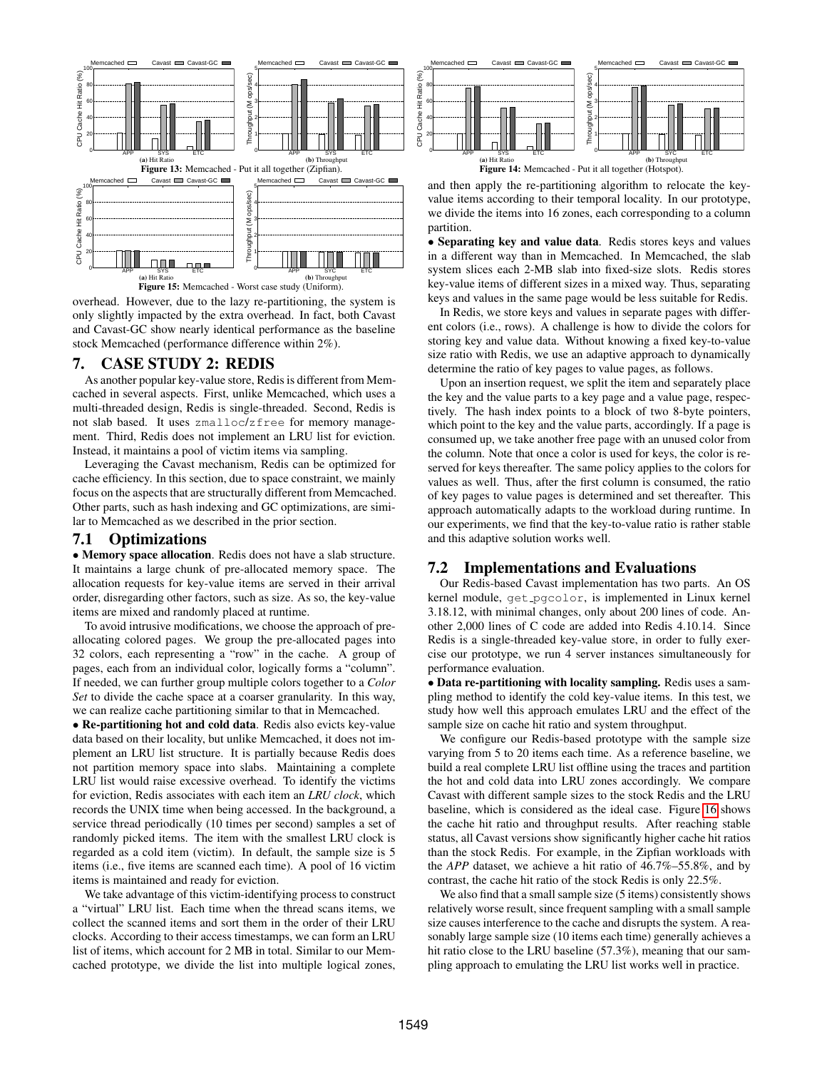<span id="page-9-2"></span><span id="page-9-1"></span>

Figure 15: Memcached - Worst case study (Uniform).

overhead. However, due to the lazy re-partitioning, the system is only slightly impacted by the extra overhead. In fact, both Cavast and Cavast-GC show nearly identical performance as the baseline stock Memcached (performance difference within 2%).

## <span id="page-9-0"></span>7. CASE STUDY 2: REDIS

As another popular key-value store, Redis is different from Memcached in several aspects. First, unlike Memcached, which uses a multi-threaded design, Redis is single-threaded. Second, Redis is not slab based. It uses zmalloc/zfree for memory management. Third, Redis does not implement an LRU list for eviction. Instead, it maintains a pool of victim items via sampling.

Leveraging the Cavast mechanism, Redis can be optimized for cache efficiency. In this section, due to space constraint, we mainly focus on the aspects that are structurally different from Memcached. Other parts, such as hash indexing and GC optimizations, are similar to Memcached as we described in the prior section.

## 7.1 Optimizations

• Memory space allocation. Redis does not have a slab structure. It maintains a large chunk of pre-allocated memory space. The allocation requests for key-value items are served in their arrival order, disregarding other factors, such as size. As so, the key-value items are mixed and randomly placed at runtime.

To avoid intrusive modifications, we choose the approach of preallocating colored pages. We group the pre-allocated pages into 32 colors, each representing a "row" in the cache. A group of pages, each from an individual color, logically forms a "column". If needed, we can further group multiple colors together to a *Color Set* to divide the cache space at a coarser granularity. In this way, we can realize cache partitioning similar to that in Memcached.

• Re-partitioning hot and cold data. Redis also evicts key-value data based on their locality, but unlike Memcached, it does not implement an LRU list structure. It is partially because Redis does not partition memory space into slabs. Maintaining a complete LRU list would raise excessive overhead. To identify the victims for eviction, Redis associates with each item an *LRU clock*, which records the UNIX time when being accessed. In the background, a service thread periodically (10 times per second) samples a set of randomly picked items. The item with the smallest LRU clock is regarded as a cold item (victim). In default, the sample size is 5 items (i.e., five items are scanned each time). A pool of 16 victim items is maintained and ready for eviction.

We take advantage of this victim-identifying process to construct a "virtual" LRU list. Each time when the thread scans items, we collect the scanned items and sort them in the order of their LRU clocks. According to their access timestamps, we can form an LRU list of items, which account for 2 MB in total. Similar to our Memcached prototype, we divide the list into multiple logical zones,



(b) Throughput Figure 14: Memcached - Put it all together (Hotspot).

and then apply the re-partitioning algorithm to relocate the keyvalue items according to their temporal locality. In our prototype, we divide the items into 16 zones, each corresponding to a column partition.

• Separating key and value data. Redis stores keys and values in a different way than in Memcached. In Memcached, the slab system slices each 2-MB slab into fixed-size slots. Redis stores key-value items of different sizes in a mixed way. Thus, separating keys and values in the same page would be less suitable for Redis.

In Redis, we store keys and values in separate pages with different colors (i.e., rows). A challenge is how to divide the colors for storing key and value data. Without knowing a fixed key-to-value size ratio with Redis, we use an adaptive approach to dynamically determine the ratio of key pages to value pages, as follows.

Upon an insertion request, we split the item and separately place the key and the value parts to a key page and a value page, respectively. The hash index points to a block of two 8-byte pointers, which point to the key and the value parts, accordingly. If a page is consumed up, we take another free page with an unused color from the column. Note that once a color is used for keys, the color is reserved for keys thereafter. The same policy applies to the colors for values as well. Thus, after the first column is consumed, the ratio of key pages to value pages is determined and set thereafter. This approach automatically adapts to the workload during runtime. In our experiments, we find that the key-to-value ratio is rather stable and this adaptive solution works well.

# 7.2 Implementations and Evaluations

Our Redis-based Cavast implementation has two parts. An OS kernel module, get pgcolor, is implemented in Linux kernel 3.18.12, with minimal changes, only about 200 lines of code. Another 2,000 lines of C code are added into Redis 4.10.14. Since Redis is a single-threaded key-value store, in order to fully exercise our prototype, we run 4 server instances simultaneously for performance evaluation.

• Data re-partitioning with locality sampling. Redis uses a sampling method to identify the cold key-value items. In this test, we study how well this approach emulates LRU and the effect of the sample size on cache hit ratio and system throughput.

We configure our Redis-based prototype with the sample size varying from 5 to 20 items each time. As a reference baseline, we build a real complete LRU list offline using the traces and partition the hot and cold data into LRU zones accordingly. We compare Cavast with different sample sizes to the stock Redis and the LRU baseline, which is considered as the ideal case. Figure [16](#page-10-1) shows the cache hit ratio and throughput results. After reaching stable status, all Cavast versions show significantly higher cache hit ratios than the stock Redis. For example, in the Zipfian workloads with the *APP* dataset, we achieve a hit ratio of 46.7%–55.8%, and by contrast, the cache hit ratio of the stock Redis is only 22.5%.

We also find that a small sample size (5 items) consistently shows relatively worse result, since frequent sampling with a small sample size causes interference to the cache and disrupts the system. A reasonably large sample size (10 items each time) generally achieves a hit ratio close to the LRU baseline (57.3%), meaning that our sampling approach to emulating the LRU list works well in practice.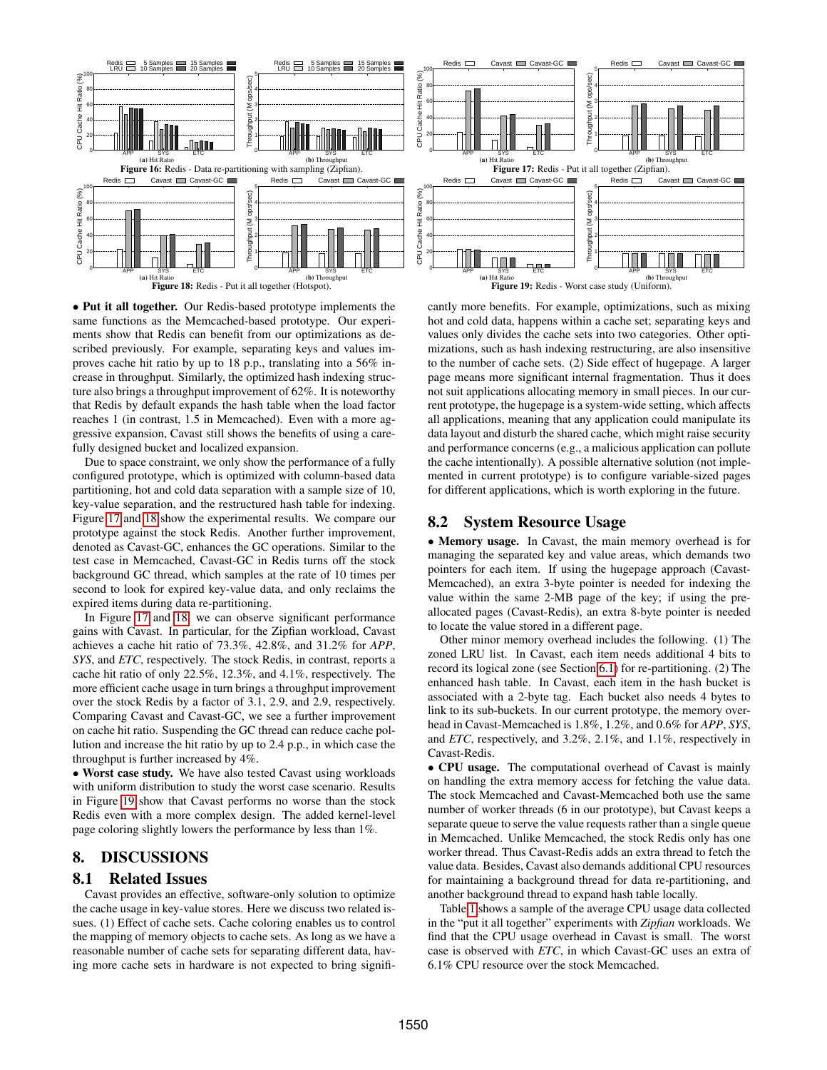<span id="page-10-1"></span>

<span id="page-10-2"></span>• Put it all together. Our Redis-based prototype implements the same functions as the Memcached-based prototype. Our experiments show that Redis can benefit from our optimizations as described previously. For example, separating keys and values improves cache hit ratio by up to 18 p.p., translating into a 56% increase in throughput. Similarly, the optimized hash indexing structure also brings a throughput improvement of 62%. It is noteworthy that Redis by default expands the hash table when the load factor reaches 1 (in contrast, 1.5 in Memcached). Even with a more aggressive expansion, Cavast still shows the benefits of using a carefully designed bucket and localized expansion.

Due to space constraint, we only show the performance of a fully configured prototype, which is optimized with column-based data partitioning, hot and cold data separation with a sample size of 10, key-value separation, and the restructured hash table for indexing. Figure [17](#page-10-1) and [18](#page-10-2) show the experimental results. We compare our prototype against the stock Redis. Another further improvement, denoted as Cavast-GC, enhances the GC operations. Similar to the test case in Memcached, Cavast-GC in Redis turns off the stock background GC thread, which samples at the rate of 10 times per second to look for expired key-value data, and only reclaims the expired items during data re-partitioning.

In Figure [17](#page-10-1) and [18,](#page-10-2) we can observe significant performance gains with Cavast. In particular, for the Zipfian workload, Cavast achieves a cache hit ratio of 73.3%, 42.8%, and 31.2% for *APP*, *SYS*, and *ETC*, respectively. The stock Redis, in contrast, reports a cache hit ratio of only 22.5%, 12.3%, and 4.1%, respectively. The more efficient cache usage in turn brings a throughput improvement over the stock Redis by a factor of 3.1, 2.9, and 2.9, respectively. Comparing Cavast and Cavast-GC, we see a further improvement on cache hit ratio. Suspending the GC thread can reduce cache pollution and increase the hit ratio by up to 2.4 p.p., in which case the throughput is further increased by 4%.

• Worst case study. We have also tested Cavast using workloads with uniform distribution to study the worst case scenario. Results in Figure [19](#page-10-2) show that Cavast performs no worse than the stock Redis even with a more complex design. The added kernel-level page coloring slightly lowers the performance by less than 1%.

# <span id="page-10-0"></span>8. DISCUSSIONS

## 8.1 Related Issues

Cavast provides an effective, software-only solution to optimize the cache usage in key-value stores. Here we discuss two related issues. (1) Effect of cache sets. Cache coloring enables us to control the mapping of memory objects to cache sets. As long as we have a reasonable number of cache sets for separating different data, having more cache sets in hardware is not expected to bring significantly more benefits. For example, optimizations, such as mixing hot and cold data, happens within a cache set; separating keys and values only divides the cache sets into two categories. Other optimizations, such as hash indexing restructuring, are also insensitive to the number of cache sets. (2) Side effect of hugepage. A larger page means more significant internal fragmentation. Thus it does not suit applications allocating memory in small pieces. In our current prototype, the hugepage is a system-wide setting, which affects all applications, meaning that any application could manipulate its data layout and disturb the shared cache, which might raise security and performance concerns (e.g., a malicious application can pollute the cache intentionally). A possible alternative solution (not implemented in current prototype) is to configure variable-sized pages for different applications, which is worth exploring in the future.

## 8.2 System Resource Usage

• Memory usage. In Cavast, the main memory overhead is for managing the separated key and value areas, which demands two pointers for each item. If using the hugepage approach (Cavast-Memcached), an extra 3-byte pointer is needed for indexing the value within the same 2-MB page of the key; if using the preallocated pages (Cavast-Redis), an extra 8-byte pointer is needed to locate the value stored in a different page.

Other minor memory overhead includes the following. (1) The zoned LRU list. In Cavast, each item needs additional 4 bits to record its logical zone (see Section [6.1\)](#page-6-2) for re-partitioning. (2) The enhanced hash table. In Cavast, each item in the hash bucket is associated with a 2-byte tag. Each bucket also needs 4 bytes to link to its sub-buckets. In our current prototype, the memory overhead in Cavast-Memcached is 1.8%, 1.2%, and 0.6% for *APP*, *SYS*, and *ETC*, respectively, and 3.2%, 2.1%, and 1.1%, respectively in Cavast-Redis.

• CPU usage. The computational overhead of Cavast is mainly on handling the extra memory access for fetching the value data. The stock Memcached and Cavast-Memcached both use the same number of worker threads (6 in our prototype), but Cavast keeps a separate queue to serve the value requests rather than a single queue in Memcached. Unlike Memcached, the stock Redis only has one worker thread. Thus Cavast-Redis adds an extra thread to fetch the value data. Besides, Cavast also demands additional CPU resources for maintaining a background thread for data re-partitioning, and another background thread to expand hash table locally.

Table [1](#page-11-2) shows a sample of the average CPU usage data collected in the "put it all together" experiments with *Zipfian* workloads. We find that the CPU usage overhead in Cavast is small. The worst case is observed with *ETC*, in which Cavast-GC uses an extra of 6.1% CPU resource over the stock Memcached.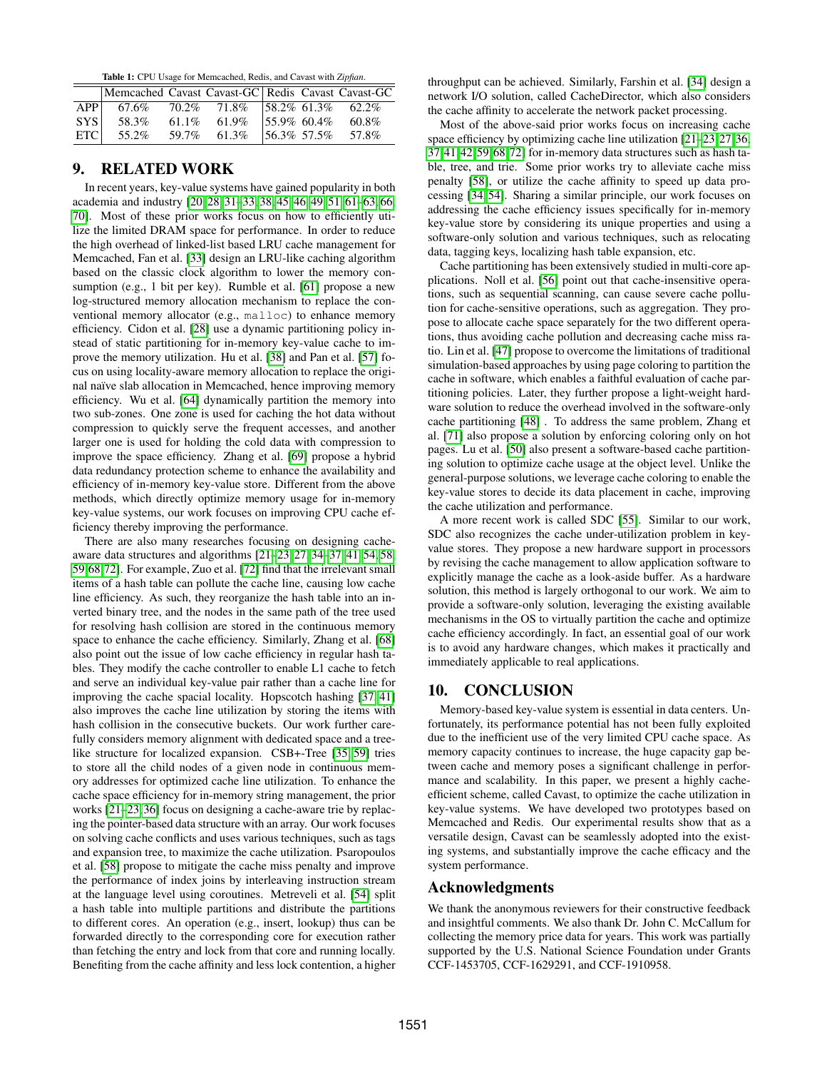Table 1: CPU Usage for Memcached, Redis, and Cavast with *Zipfian*.

<span id="page-11-2"></span>

|                  | Memcached Cavast Cavast-GC Redis Cavast Cavast-GC |                                    |                 |       |
|------------------|---------------------------------------------------|------------------------------------|-----------------|-------|
| APP              | 67.6%                                             | 70.2\% 71.8\% 58.2\% 61.3\% 62.2\% |                 |       |
| SYS <sup>1</sup> | 58.3%                                             | $61.1\%$ $61.9\%$                  | $155.9\%$ 60.4% | 60.8% |
| <b>ETC</b>       | 55.2%                                             | 59.7% 61.3%                        | $156.3\%$ 57.5% | 57.8% |
|                  |                                                   |                                    |                 |       |

## <span id="page-11-0"></span>9. RELATED WORK

In recent years, key-value systems have gained popularity in both academia and industry [\[20,](#page-12-19) [28,](#page-12-25) [31–](#page-12-26)[33,](#page-12-27) [38,](#page-12-28) [45,](#page-13-11) [46,](#page-13-12) [49,](#page-13-13) [51,](#page-13-14) [61–](#page-13-15)[63,](#page-13-16) [66,](#page-13-17) [70\]](#page-14-0). Most of these prior works focus on how to efficiently utilize the limited DRAM space for performance. In order to reduce the high overhead of linked-list based LRU cache management for Memcached, Fan et al. [\[33\]](#page-12-27) design an LRU-like caching algorithm based on the classic clock algorithm to lower the memory consumption (e.g., 1 bit per key). Rumble et al. [\[61\]](#page-13-15) propose a new log-structured memory allocation mechanism to replace the conventional memory allocator (e.g., malloc) to enhance memory efficiency. Cidon et al. [\[28\]](#page-12-25) use a dynamic partitioning policy instead of static partitioning for in-memory key-value cache to improve the memory utilization. Hu et al. [\[38\]](#page-12-28) and Pan et al. [\[57\]](#page-13-18) focus on using locality-aware memory allocation to replace the original naïve slab allocation in Memcached, hence improving memory efficiency. Wu et al. [\[64\]](#page-13-19) dynamically partition the memory into two sub-zones. One zone is used for caching the hot data without compression to quickly serve the frequent accesses, and another larger one is used for holding the cold data with compression to improve the space efficiency. Zhang et al. [\[69\]](#page-14-1) propose a hybrid data redundancy protection scheme to enhance the availability and efficiency of in-memory key-value store. Different from the above methods, which directly optimize memory usage for in-memory key-value systems, our work focuses on improving CPU cache efficiency thereby improving the performance.

There are also many researches focusing on designing cacheaware data structures and algorithms [\[21](#page-12-29)[–23,](#page-12-30) [27,](#page-12-31) [34](#page-12-32)[–37,](#page-12-33) [41,](#page-13-20) [54,](#page-13-21) [58,](#page-13-22) [59,](#page-13-23)[68](#page-13-24)[,72\]](#page-14-2). For example, Zuo et al. [\[72\]](#page-14-2) find that the irrelevant small items of a hash table can pollute the cache line, causing low cache line efficiency. As such, they reorganize the hash table into an inverted binary tree, and the nodes in the same path of the tree used for resolving hash collision are stored in the continuous memory space to enhance the cache efficiency. Similarly, Zhang et al. [\[68\]](#page-13-24) also point out the issue of low cache efficiency in regular hash tables. They modify the cache controller to enable L1 cache to fetch and serve an individual key-value pair rather than a cache line for improving the cache spacial locality. Hopscotch hashing [\[37,](#page-12-33) [41\]](#page-13-20) also improves the cache line utilization by storing the items with hash collision in the consecutive buckets. Our work further carefully considers memory alignment with dedicated space and a treelike structure for localized expansion. CSB+-Tree [\[35,](#page-12-34) [59\]](#page-13-23) tries to store all the child nodes of a given node in continuous memory addresses for optimized cache line utilization. To enhance the cache space efficiency for in-memory string management, the prior works [\[21–](#page-12-29)[23,](#page-12-30) [36\]](#page-12-35) focus on designing a cache-aware trie by replacing the pointer-based data structure with an array. Our work focuses on solving cache conflicts and uses various techniques, such as tags and expansion tree, to maximize the cache utilization. Psaropoulos et al. [\[58\]](#page-13-22) propose to mitigate the cache miss penalty and improve the performance of index joins by interleaving instruction stream at the language level using coroutines. Metreveli et al. [\[54\]](#page-13-21) split a hash table into multiple partitions and distribute the partitions to different cores. An operation (e.g., insert, lookup) thus can be forwarded directly to the corresponding core for execution rather than fetching the entry and lock from that core and running locally. Benefiting from the cache affinity and less lock contention, a higher throughput can be achieved. Similarly, Farshin et al. [\[34\]](#page-12-32) design a network I/O solution, called CacheDirector, which also considers the cache affinity to accelerate the network packet processing.

Most of the above-said prior works focus on increasing cache space efficiency by optimizing cache line utilization [\[21–](#page-12-29)[23,](#page-12-30)[27,](#page-12-31)[36,](#page-12-35) [37,](#page-12-33) [41,](#page-13-20) [42,](#page-13-25) [59,](#page-13-23) [68,](#page-13-24) [72\]](#page-14-2) for in-memory data structures such as hash table, tree, and trie. Some prior works try to alleviate cache miss penalty [\[58\]](#page-13-22), or utilize the cache affinity to speed up data processing [\[34,](#page-12-32) [54\]](#page-13-21). Sharing a similar principle, our work focuses on addressing the cache efficiency issues specifically for in-memory key-value store by considering its unique properties and using a software-only solution and various techniques, such as relocating data, tagging keys, localizing hash table expansion, etc.

Cache partitioning has been extensively studied in multi-core applications. Noll et al. [\[56\]](#page-13-26) point out that cache-insensitive operations, such as sequential scanning, can cause severe cache pollution for cache-sensitive operations, such as aggregation. They propose to allocate cache space separately for the two different operations, thus avoiding cache pollution and decreasing cache miss ratio. Lin et al. [\[47\]](#page-13-7) propose to overcome the limitations of traditional simulation-based approaches by using page coloring to partition the cache in software, which enables a faithful evaluation of cache partitioning policies. Later, they further propose a light-weight hardware solution to reduce the overhead involved in the software-only cache partitioning [\[48\]](#page-13-8) . To address the same problem, Zhang et al. [\[71\]](#page-14-3) also propose a solution by enforcing coloring only on hot pages. Lu et al. [\[50\]](#page-13-27) also present a software-based cache partitioning solution to optimize cache usage at the object level. Unlike the general-purpose solutions, we leverage cache coloring to enable the key-value stores to decide its data placement in cache, improving the cache utilization and performance.

A more recent work is called SDC [\[55\]](#page-13-28). Similar to our work, SDC also recognizes the cache under-utilization problem in keyvalue stores. They propose a new hardware support in processors by revising the cache management to allow application software to explicitly manage the cache as a look-aside buffer. As a hardware solution, this method is largely orthogonal to our work. We aim to provide a software-only solution, leveraging the existing available mechanisms in the OS to virtually partition the cache and optimize cache efficiency accordingly. In fact, an essential goal of our work is to avoid any hardware changes, which makes it practically and immediately applicable to real applications.

# <span id="page-11-1"></span>10. CONCLUSION

Memory-based key-value system is essential in data centers. Unfortunately, its performance potential has not been fully exploited due to the inefficient use of the very limited CPU cache space. As memory capacity continues to increase, the huge capacity gap between cache and memory poses a significant challenge in performance and scalability. In this paper, we present a highly cacheefficient scheme, called Cavast, to optimize the cache utilization in key-value systems. We have developed two prototypes based on Memcached and Redis. Our experimental results show that as a versatile design, Cavast can be seamlessly adopted into the existing systems, and substantially improve the cache efficacy and the system performance.

#### Acknowledgments

We thank the anonymous reviewers for their constructive feedback and insightful comments. We also thank Dr. John C. McCallum for collecting the memory price data for years. This work was partially supported by the U.S. National Science Foundation under Grants CCF-1453705, CCF-1629291, and CCF-1910958.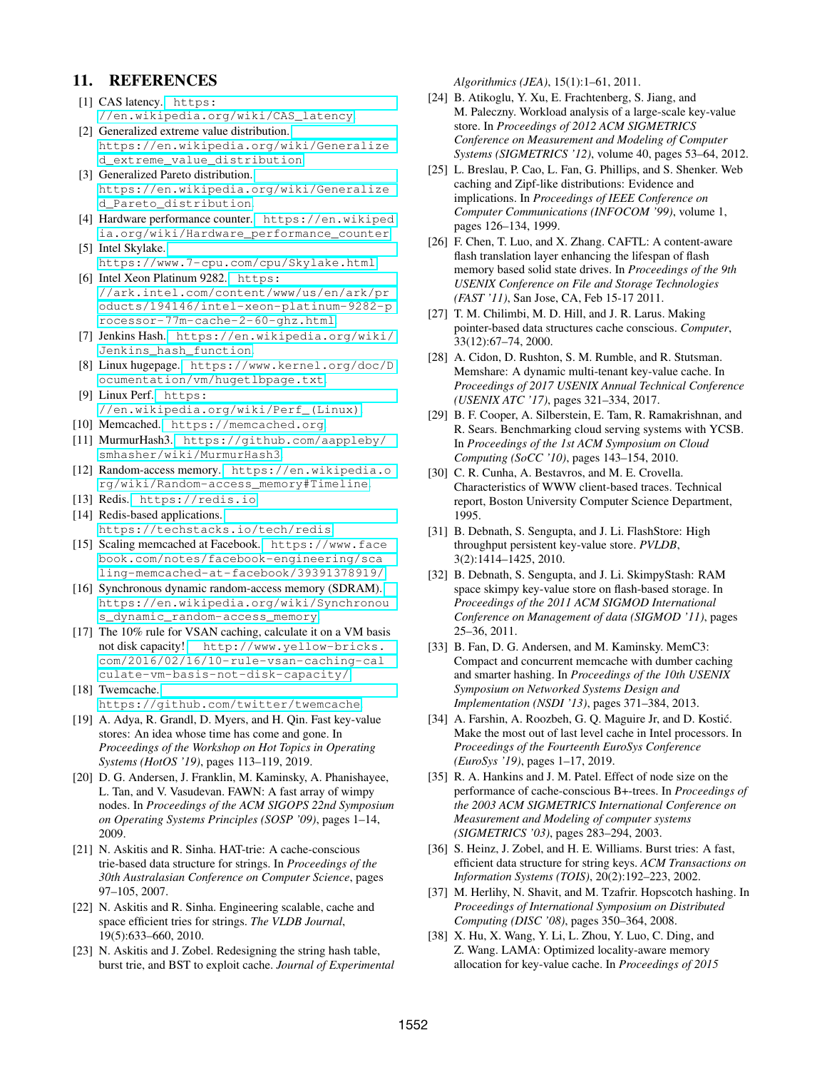# 11. REFERENCES

- <span id="page-12-11"></span>[1] CAS latency. [https:](https://en.wikipedia.org/wiki/CAS_latency) [//en.wikipedia.org/wiki/CAS\\_latency](https://en.wikipedia.org/wiki/CAS_latency).
- <span id="page-12-22"></span>[2] Generalized extreme value distribution. [https://en.wikipedia.org/wiki/Generalize](https://en.wikipedia.org/wiki/Generalized_extreme_value_distribution) [d\\_extreme\\_value\\_distribution](https://en.wikipedia.org/wiki/Generalized_extreme_value_distribution).
- <span id="page-12-21"></span>[3] Generalized Pareto distribution. [https://en.wikipedia.org/wiki/Generalize](https://en.wikipedia.org/wiki/Generalized_Pareto_distribution) [d\\_Pareto\\_distribution](https://en.wikipedia.org/wiki/Generalized_Pareto_distribution).
- <span id="page-12-15"></span>[4] Hardware performance counter. [https://en.wikiped](https://en.wikipedia.org/wiki/Hardware_performance_counter) [ia.org/wiki/Hardware\\_performance\\_counter](https://en.wikipedia.org/wiki/Hardware_performance_counter). [5] Intel Skylake.
- <span id="page-12-12"></span><https://www.7-cpu.com/cpu/Skylake.html>. [6] Intel Xeon Platinum 9282. [https:](https://ark.intel.com/content/www/us/en/ark/products/194146/intel-xeon-platinum-9282-processor-77m-cache-2-60-ghz.html)
- <span id="page-12-8"></span>[//ark.intel.com/content/www/us/en/ark/pr](https://ark.intel.com/content/www/us/en/ark/products/194146/intel-xeon-platinum-9282-processor-77m-cache-2-60-ghz.html) [oducts/194146/intel-xeon-platinum-9282-p](https://ark.intel.com/content/www/us/en/ark/products/194146/intel-xeon-platinum-9282-processor-77m-cache-2-60-ghz.html) [rocessor-77m-cache-2-60-ghz.html](https://ark.intel.com/content/www/us/en/ark/products/194146/intel-xeon-platinum-9282-processor-77m-cache-2-60-ghz.html).
- <span id="page-12-18"></span>[7] Jenkins Hash. [https://en.wikipedia.org/wiki/](https://en.wikipedia.org/wiki/Jenkins_hash_function) [Jenkins\\_hash\\_function](https://en.wikipedia.org/wiki/Jenkins_hash_function).
- <span id="page-12-16"></span>[8] Linux hugepage. [https://www.kernel.org/doc/D](https://www.kernel.org/doc/Documentation/vm/hugetlbpage.txt) [ocumentation/vm/hugetlbpage.txt](https://www.kernel.org/doc/Documentation/vm/hugetlbpage.txt).
- <span id="page-12-14"></span>[9] Linux Perf. [https:](https://en.wikipedia.org/wiki/Perf_(Linux)) [//en.wikipedia.org/wiki/Perf\\_\(Linux\)](https://en.wikipedia.org/wiki/Perf_(Linux)).
- <span id="page-12-0"></span>[10] Memcached. <https://memcached.org>.
- <span id="page-12-17"></span>[11] MurmurHash3. [https://github.com/aappleby/](https://github.com/aappleby/smhasher/wiki/MurmurHash3) [smhasher/wiki/MurmurHash3](https://github.com/aappleby/smhasher/wiki/MurmurHash3).
- <span id="page-12-6"></span>[12] Random-access memory. [https://en.wikipedia.o](https://en.wikipedia.org/wiki/Random-access_memory#Timeline) [rg/wiki/Random-access\\_memory#Timeline](https://en.wikipedia.org/wiki/Random-access_memory#Timeline).
- <span id="page-12-1"></span>[13] Redis. <https://redis.io>.
- <span id="page-12-3"></span>[14] Redis-based applications. <https://techstacks.io/tech/redis>.
- <span id="page-12-2"></span>[15] Scaling memcached at Facebook. [https://www.face](https://www.facebook.com/notes/facebook-engineering/scaling-memcached-at-facebook/39391378919/) [book.com/notes/facebook-engineering/sca](https://www.facebook.com/notes/facebook-engineering/scaling-memcached-at-facebook/39391378919/) [ling-memcached-at-facebook/39391378919/](https://www.facebook.com/notes/facebook-engineering/scaling-memcached-at-facebook/39391378919/).
- <span id="page-12-7"></span>[16] Synchronous dynamic random-access memory (SDRAM). [https://en.wikipedia.org/wiki/Synchronou](https://en.wikipedia.org/wiki/Synchronous_dynamic_random-access_memory) [s\\_dynamic\\_random-access\\_memory](https://en.wikipedia.org/wiki/Synchronous_dynamic_random-access_memory).
- <span id="page-12-9"></span>[17] The 10% rule for VSAN caching, calculate it on a VM basis not disk capacity! [http://www.yellow-bricks.](http://www.yellow-bricks.com/2016/02/16/10-rule-vsan-caching-calculate-vm-basis-not-disk-capacity/) [com/2016/02/16/10-rule-vsan-caching-cal](http://www.yellow-bricks.com/2016/02/16/10-rule-vsan-caching-calculate-vm-basis-not-disk-capacity/) [culate-vm-basis-not-disk-capacity/](http://www.yellow-bricks.com/2016/02/16/10-rule-vsan-caching-calculate-vm-basis-not-disk-capacity/).
- <span id="page-12-4"></span>[18] Twemcache. <https://github.com/twitter/twemcache>.
- <span id="page-12-5"></span>[19] A. Adya, R. Grandl, D. Myers, and H. Qin. Fast key-value stores: An idea whose time has come and gone. In *Proceedings of the Workshop on Hot Topics in Operating Systems (HotOS '19)*, pages 113–119, 2019.
- <span id="page-12-19"></span>[20] D. G. Andersen, J. Franklin, M. Kaminsky, A. Phanishayee, L. Tan, and V. Vasudevan. FAWN: A fast array of wimpy nodes. In *Proceedings of the ACM SIGOPS 22nd Symposium on Operating Systems Principles (SOSP '09)*, pages 1–14, 2009.
- <span id="page-12-29"></span>[21] N. Askitis and R. Sinha. HAT-trie: A cache-conscious trie-based data structure for strings. In *Proceedings of the 30th Australasian Conference on Computer Science*, pages 97–105, 2007.
- [22] N. Askitis and R. Sinha. Engineering scalable, cache and space efficient tries for strings. *The VLDB Journal*, 19(5):633–660, 2010.
- <span id="page-12-30"></span>[23] N. Askitis and J. Zobel. Redesigning the string hash table, burst trie, and BST to exploit cache. *Journal of Experimental*

*Algorithmics (JEA)*, 15(1):1–61, 2011.

- <span id="page-12-10"></span>[24] B. Atikoglu, Y. Xu, E. Frachtenberg, S. Jiang, and M. Paleczny. Workload analysis of a large-scale key-value store. In *Proceedings of 2012 ACM SIGMETRICS Conference on Measurement and Modeling of Computer Systems (SIGMETRICS '12)*, volume 40, pages 53–64, 2012.
- <span id="page-12-23"></span>[25] L. Breslau, P. Cao, L. Fan, G. Phillips, and S. Shenker. Web caching and Zipf-like distributions: Evidence and implications. In *Proceedings of IEEE Conference on Computer Communications (INFOCOM '99)*, volume 1, pages 126–134, 1999.
- <span id="page-12-20"></span>[26] F. Chen, T. Luo, and X. Zhang. CAFTL: A content-aware flash translation layer enhancing the lifespan of flash memory based solid state drives. In *Proceedings of the 9th USENIX Conference on File and Storage Technologies (FAST '11)*, San Jose, CA, Feb 15-17 2011.
- <span id="page-12-31"></span>[27] T. M. Chilimbi, M. D. Hill, and J. R. Larus. Making pointer-based data structures cache conscious. *Computer*, 33(12):67–74, 2000.
- <span id="page-12-25"></span>[28] A. Cidon, D. Rushton, S. M. Rumble, and R. Stutsman. Memshare: A dynamic multi-tenant key-value cache. In *Proceedings of 2017 USENIX Annual Technical Conference (USENIX ATC '17)*, pages 321–334, 2017.
- <span id="page-12-13"></span>[29] B. F. Cooper, A. Silberstein, E. Tam, R. Ramakrishnan, and R. Sears. Benchmarking cloud serving systems with YCSB. In *Proceedings of the 1st ACM Symposium on Cloud Computing (SoCC '10)*, pages 143–154, 2010.
- <span id="page-12-24"></span>[30] C. R. Cunha, A. Bestavros, and M. E. Crovella. Characteristics of WWW client-based traces. Technical report, Boston University Computer Science Department, 1995.
- <span id="page-12-26"></span>[31] B. Debnath, S. Sengupta, and J. Li. FlashStore: High throughput persistent key-value store. *PVLDB*, 3(2):1414–1425, 2010.
- [32] B. Debnath, S. Sengupta, and J. Li. SkimpyStash: RAM space skimpy key-value store on flash-based storage. In *Proceedings of the 2011 ACM SIGMOD International Conference on Management of data (SIGMOD '11)*, pages 25–36, 2011.
- <span id="page-12-27"></span>[33] B. Fan, D. G. Andersen, and M. Kaminsky. MemC3: Compact and concurrent memcache with dumber caching and smarter hashing. In *Proceedings of the 10th USENIX Symposium on Networked Systems Design and Implementation (NSDI '13)*, pages 371–384, 2013.
- <span id="page-12-32"></span>[34] A. Farshin, A. Roozbeh, G. Q. Maguire Jr, and D. Kostić. Make the most out of last level cache in Intel processors. In *Proceedings of the Fourteenth EuroSys Conference (EuroSys '19)*, pages 1–17, 2019.
- <span id="page-12-34"></span>[35] R. A. Hankins and J. M. Patel. Effect of node size on the performance of cache-conscious B+-trees. In *Proceedings of the 2003 ACM SIGMETRICS International Conference on Measurement and Modeling of computer systems (SIGMETRICS '03)*, pages 283–294, 2003.
- <span id="page-12-35"></span>[36] S. Heinz, J. Zobel, and H. E. Williams. Burst tries: A fast, efficient data structure for string keys. *ACM Transactions on Information Systems (TOIS)*, 20(2):192–223, 2002.
- <span id="page-12-33"></span>[37] M. Herlihy, N. Shavit, and M. Tzafrir. Hopscotch hashing. In *Proceedings of International Symposium on Distributed Computing (DISC '08)*, pages 350–364, 2008.
- <span id="page-12-28"></span>[38] X. Hu, X. Wang, Y. Li, L. Zhou, Y. Luo, C. Ding, and Z. Wang. LAMA: Optimized locality-aware memory allocation for key-value cache. In *Proceedings of 2015*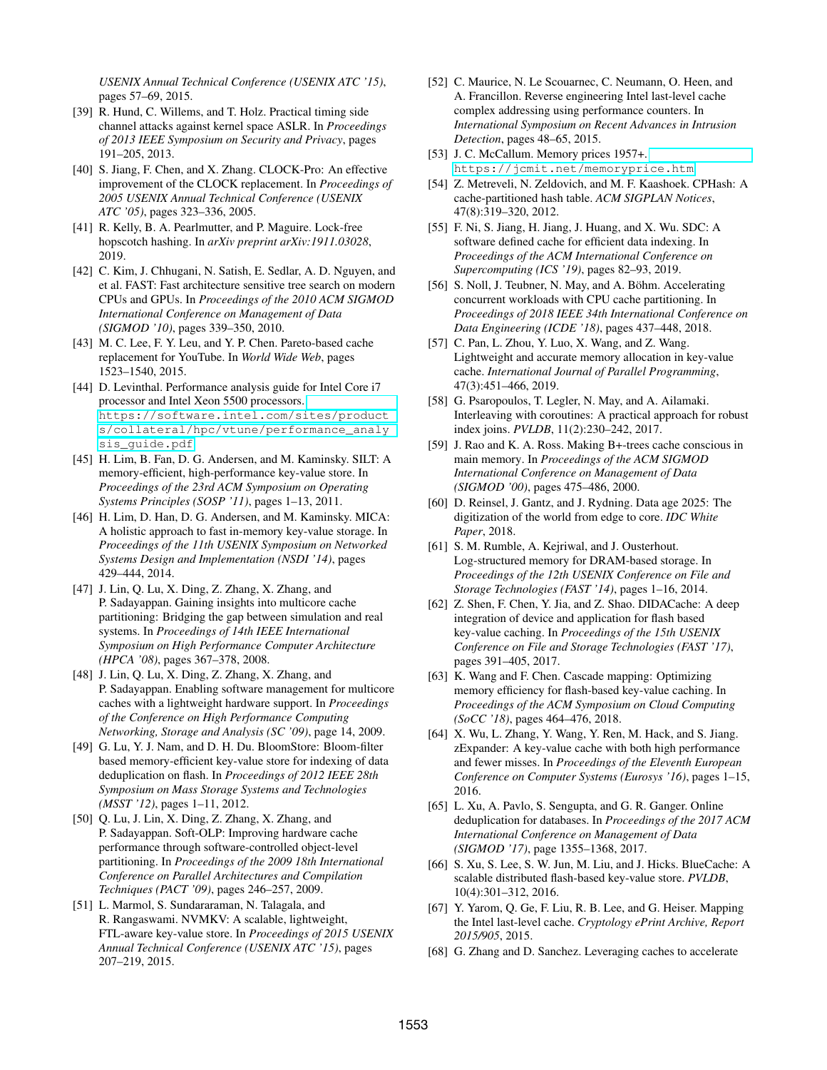*USENIX Annual Technical Conference (USENIX ATC '15)*, pages 57–69, 2015.

- <span id="page-13-4"></span>[39] R. Hund, C. Willems, and T. Holz. Practical timing side channel attacks against kernel space ASLR. In *Proceedings of 2013 IEEE Symposium on Security and Privacy*, pages 191–205, 2013.
- <span id="page-13-10"></span>[40] S. Jiang, F. Chen, and X. Zhang. CLOCK-Pro: An effective improvement of the CLOCK replacement. In *Proceedings of 2005 USENIX Annual Technical Conference (USENIX ATC '05)*, pages 323–336, 2005.
- <span id="page-13-20"></span>[41] R. Kelly, B. A. Pearlmutter, and P. Maguire. Lock-free hopscotch hashing. In *arXiv preprint arXiv:1911.03028*, 2019.
- <span id="page-13-25"></span>[42] C. Kim, J. Chhugani, N. Satish, E. Sedlar, A. D. Nguyen, and et al. FAST: Fast architecture sensitive tree search on modern CPUs and GPUs. In *Proceedings of the 2010 ACM SIGMOD International Conference on Management of Data (SIGMOD '10)*, pages 339–350, 2010.
- <span id="page-13-1"></span>[43] M. C. Lee, F. Y. Leu, and Y. P. Chen. Pareto-based cache replacement for YouTube. In *World Wide Web*, pages 1523–1540, 2015.
- <span id="page-13-3"></span>[44] D. Levinthal. Performance analysis guide for Intel Core i7 processor and Intel Xeon 5500 processors. [https://software.intel.com/sites/product](https://software.intel.com/sites/products/collateral/hpc/vtune/performance_analysis_guide.pdf) [s/collateral/hpc/vtune/performance\\_analy](https://software.intel.com/sites/products/collateral/hpc/vtune/performance_analysis_guide.pdf) [sis\\_guide.pdf](https://software.intel.com/sites/products/collateral/hpc/vtune/performance_analysis_guide.pdf).
- <span id="page-13-11"></span>[45] H. Lim, B. Fan, D. G. Andersen, and M. Kaminsky. SILT: A memory-efficient, high-performance key-value store. In *Proceedings of the 23rd ACM Symposium on Operating Systems Principles (SOSP '11)*, pages 1–13, 2011.
- <span id="page-13-12"></span>[46] H. Lim, D. Han, D. G. Andersen, and M. Kaminsky. MICA: A holistic approach to fast in-memory key-value storage. In *Proceedings of the 11th USENIX Symposium on Networked Systems Design and Implementation (NSDI '14)*, pages 429–444, 2014.
- <span id="page-13-7"></span>[47] J. Lin, Q. Lu, X. Ding, Z. Zhang, X. Zhang, and P. Sadayappan. Gaining insights into multicore cache partitioning: Bridging the gap between simulation and real systems. In *Proceedings of 14th IEEE International Symposium on High Performance Computer Architecture (HPCA '08)*, pages 367–378, 2008.
- <span id="page-13-8"></span>[48] J. Lin, Q. Lu, X. Ding, Z. Zhang, X. Zhang, and P. Sadayappan. Enabling software management for multicore caches with a lightweight hardware support. In *Proceedings of the Conference on High Performance Computing Networking, Storage and Analysis (SC '09)*, page 14, 2009.
- <span id="page-13-13"></span>[49] G. Lu, Y. J. Nam, and D. H. Du. BloomStore: Bloom-filter based memory-efficient key-value store for indexing of data deduplication on flash. In *Proceedings of 2012 IEEE 28th Symposium on Mass Storage Systems and Technologies (MSST '12)*, pages 1–11, 2012.
- <span id="page-13-27"></span>[50] Q. Lu, J. Lin, X. Ding, Z. Zhang, X. Zhang, and P. Sadayappan. Soft-OLP: Improving hardware cache performance through software-controlled object-level partitioning. In *Proceedings of the 2009 18th International Conference on Parallel Architectures and Compilation Techniques (PACT '09)*, pages 246–257, 2009.
- <span id="page-13-14"></span>[51] L. Marmol, S. Sundararaman, N. Talagala, and R. Rangaswami. NVMKV: A scalable, lightweight, FTL-aware key-value store. In *Proceedings of 2015 USENIX Annual Technical Conference (USENIX ATC '15)*, pages 207–219, 2015.
- <span id="page-13-5"></span>[52] C. Maurice, N. Le Scouarnec, C. Neumann, O. Heen, and A. Francillon. Reverse engineering Intel last-level cache complex addressing using performance counters. In *International Symposium on Recent Advances in Intrusion Detection*, pages 48–65, 2015.
- <span id="page-13-2"></span>[53] J. C. McCallum. Memory prices 1957+. <https://jcmit.net/memoryprice.htm>.
- <span id="page-13-21"></span>[54] Z. Metreveli, N. Zeldovich, and M. F. Kaashoek. CPHash: A cache-partitioned hash table. *ACM SIGPLAN Notices*, 47(8):319–320, 2012.
- <span id="page-13-28"></span>[55] F. Ni, S. Jiang, H. Jiang, J. Huang, and X. Wu. SDC: A software defined cache for efficient data indexing. In *Proceedings of the ACM International Conference on Supercomputing (ICS '19)*, pages 82–93, 2019.
- <span id="page-13-26"></span>[56] S. Noll, J. Teubner, N. May, and A. Böhm. Accelerating concurrent workloads with CPU cache partitioning. In *Proceedings of 2018 IEEE 34th International Conference on Data Engineering (ICDE '18)*, pages 437–448, 2018.
- <span id="page-13-18"></span>[57] C. Pan, L. Zhou, Y. Luo, X. Wang, and Z. Wang. Lightweight and accurate memory allocation in key-value cache. *International Journal of Parallel Programming*, 47(3):451–466, 2019.
- <span id="page-13-22"></span>[58] G. Psaropoulos, T. Legler, N. May, and A. Ailamaki. Interleaving with coroutines: A practical approach for robust index joins. *PVLDB*, 11(2):230–242, 2017.
- <span id="page-13-23"></span>[59] J. Rao and K. A. Ross. Making B+-trees cache conscious in main memory. In *Proceedings of the ACM SIGMOD International Conference on Management of Data (SIGMOD '00)*, pages 475–486, 2000.
- <span id="page-13-0"></span>[60] D. Reinsel, J. Gantz, and J. Rydning. Data age 2025: The digitization of the world from edge to core. *IDC White Paper*, 2018.
- <span id="page-13-15"></span>[61] S. M. Rumble, A. Kejriwal, and J. Ousterhout. Log-structured memory for DRAM-based storage. In *Proceedings of the 12th USENIX Conference on File and Storage Technologies (FAST '14)*, pages 1–16, 2014.
- [62] Z. Shen, F. Chen, Y. Jia, and Z. Shao. DIDACache: A deep integration of device and application for flash based key-value caching. In *Proceedings of the 15th USENIX Conference on File and Storage Technologies (FAST '17)*, pages 391–405, 2017.
- <span id="page-13-16"></span>[63] K. Wang and F. Chen. Cascade mapping: Optimizing memory efficiency for flash-based key-value caching. In *Proceedings of the ACM Symposium on Cloud Computing (SoCC '18)*, pages 464–476, 2018.
- <span id="page-13-19"></span>[64] X. Wu, L. Zhang, Y. Wang, Y. Ren, M. Hack, and S. Jiang. zExpander: A key-value cache with both high performance and fewer misses. In *Proceedings of the Eleventh European Conference on Computer Systems (Eurosys '16)*, pages 1–15, 2016.
- <span id="page-13-9"></span>[65] L. Xu, A. Pavlo, S. Sengupta, and G. R. Ganger. Online deduplication for databases. In *Proceedings of the 2017 ACM International Conference on Management of Data (SIGMOD '17)*, page 1355–1368, 2017.
- <span id="page-13-17"></span>[66] S. Xu, S. Lee, S. W. Jun, M. Liu, and J. Hicks. BlueCache: A scalable distributed flash-based key-value store. *PVLDB*, 10(4):301–312, 2016.
- <span id="page-13-6"></span>[67] Y. Yarom, Q. Ge, F. Liu, R. B. Lee, and G. Heiser. Mapping the Intel last-level cache. *Cryptology ePrint Archive, Report 2015/905*, 2015.
- <span id="page-13-24"></span>[68] G. Zhang and D. Sanchez. Leveraging caches to accelerate